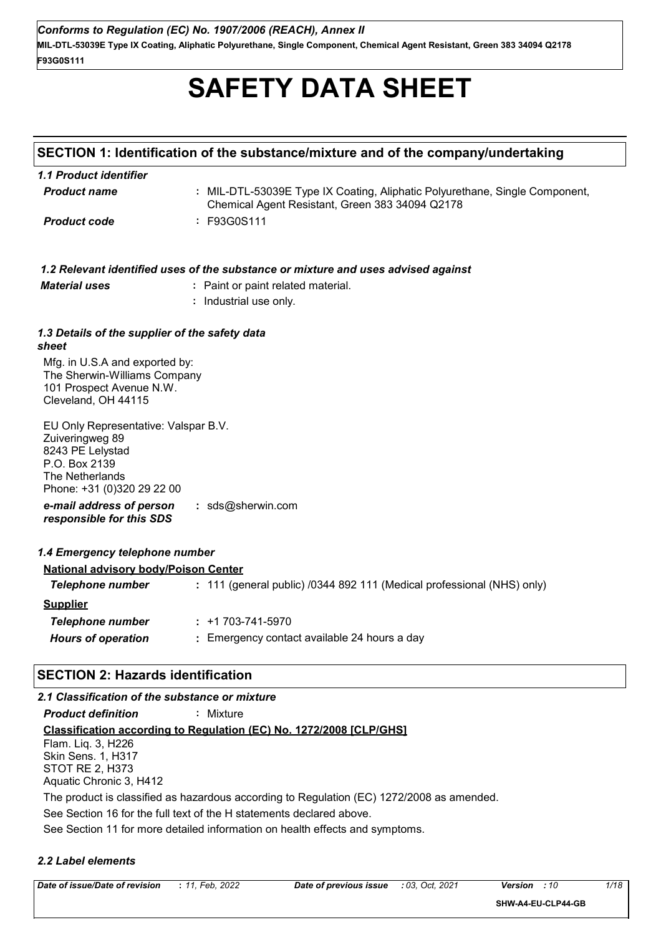# **SAFETY DATA SHEET**

# **SECTION 1: Identification of the substance/mixture and of the company/undertaking**

| 1.1 Product identifier |                                                                                                                                |  |
|------------------------|--------------------------------------------------------------------------------------------------------------------------------|--|
| <b>Product name</b>    | : MIL-DTL-53039E Type IX Coating, Aliphatic Polyurethane, Single Component,<br>Chemical Agent Resistant, Green 383 34094 Q2178 |  |
| <b>Product code</b>    | : F93G0S111                                                                                                                    |  |

|                                                         | 1.2 Relevant identified uses of the substance or mixture and uses advised against |
|---------------------------------------------------------|-----------------------------------------------------------------------------------|
| <b>Material uses</b>                                    | : Paint or paint related material.                                                |
|                                                         | : Industrial use only.                                                            |
| 1.3 Details of the supplier of the safety data<br>sheet |                                                                                   |
| Mfa $\ln 11S$ $\Delta$ and exported by:                 |                                                                                   |

wirg. in ∪.S.A and expo The Sherwin-Williams Company 101 Prospect Avenue N.W. Cleveland, OH 44115

EU Only Representative: Valspar B.V. Zuiveringweg 89 8243 PE Lelystad P.O. Box 2139 The Netherlands Phone: +31 (0)320 29 22 00

*e-mail address of person responsible for this SDS* **:** sds@sherwin.com

# *1.4 Emergency telephone number*

| <b>National advisory body/Poison Center</b> |                                                                        |  |
|---------------------------------------------|------------------------------------------------------------------------|--|
| Telephone number                            | : 111 (general public) /0344 892 111 (Medical professional (NHS) only) |  |
| <b>Supplier</b>                             |                                                                        |  |
| Telephone number                            | $: +1703 - 741 - 5970$                                                 |  |
| <b>Hours of operation</b>                   | : Emergency contact available 24 hours a day                           |  |

# **SECTION 2: Hazards identification**

| 2.1 Classification of the substance or mixture                                            |
|-------------------------------------------------------------------------------------------|
| <b>Product definition</b><br>: Mixture                                                    |
| <b>Classification according to Regulation (EC) No. 1272/2008 [CLP/GHS]</b>                |
| Flam. Liq. 3, H226                                                                        |
| <b>Skin Sens. 1, H317</b>                                                                 |
| STOT RE 2, H373                                                                           |
| Aquatic Chronic 3, H412                                                                   |
| The product is classified as hazardous according to Regulation (EC) 1272/2008 as amended. |
| See Section 16 for the full text of the H statements declared above.                      |
| See Section 11 for more detailed information on health effects and symptoms.              |

# *2.2 Label elements*

|  | Date of issue/Date of revision | : 11, Feb, 2022 |
|--|--------------------------------|-----------------|
|--|--------------------------------|-----------------|

*Date of issue/Date of revision* **:** *11, Feb, 2022 Date of previous issue : 03, Oct, 2021 Version : 10 1/18*

**SHW-A4-EU-CLP44-GB**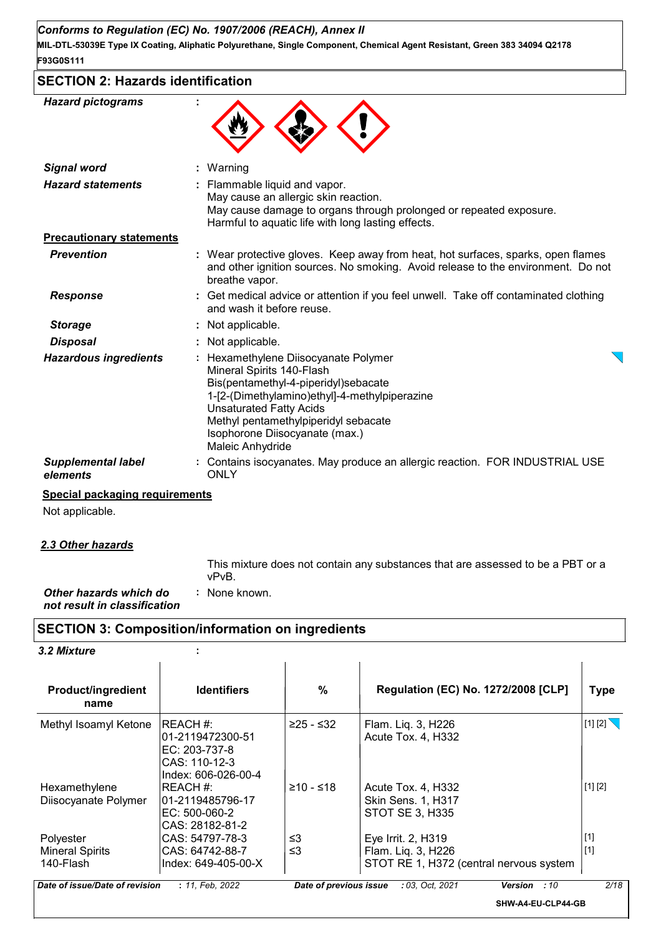**MIL-DTL-53039E Type IX Coating, Aliphatic Polyurethane, Single Component, Chemical Agent Resistant, Green 383 34094 Q2178 F93G0S111**

| <b>SECTION 2: Hazards identification</b> |  |
|------------------------------------------|--|
|------------------------------------------|--|

| <b>Hazard pictograms</b>              |                                                                                                                                                                                                                                                                                          |
|---------------------------------------|------------------------------------------------------------------------------------------------------------------------------------------------------------------------------------------------------------------------------------------------------------------------------------------|
| <b>Signal word</b>                    | Warning                                                                                                                                                                                                                                                                                  |
| <b>Hazard statements</b>              | : Flammable liquid and vapor.<br>May cause an allergic skin reaction.<br>May cause damage to organs through prolonged or repeated exposure.<br>Harmful to aquatic life with long lasting effects.                                                                                        |
| <b>Precautionary statements</b>       |                                                                                                                                                                                                                                                                                          |
| <b>Prevention</b>                     | : Wear protective gloves. Keep away from heat, hot surfaces, sparks, open flames<br>and other ignition sources. No smoking. Avoid release to the environment. Do not<br>breathe vapor.                                                                                                   |
| <b>Response</b>                       | : Get medical advice or attention if you feel unwell. Take off contaminated clothing<br>and wash it before reuse.                                                                                                                                                                        |
| <b>Storage</b>                        | : Not applicable.                                                                                                                                                                                                                                                                        |
| <b>Disposal</b>                       | : Not applicable.                                                                                                                                                                                                                                                                        |
| <b>Hazardous ingredients</b>          | Hexamethylene Diisocyanate Polymer<br>Mineral Spirits 140-Flash<br>Bis(pentamethyl-4-piperidyl)sebacate<br>1-[2-(Dimethylamino)ethyl]-4-methylpiperazine<br><b>Unsaturated Fatty Acids</b><br>Methyl pentamethylpiperidyl sebacate<br>Isophorone Diisocyanate (max.)<br>Maleic Anhydride |
| <b>Supplemental label</b><br>elements | : Contains isocyanates. May produce an allergic reaction. FOR INDUSTRIAL USE<br><b>ONLY</b>                                                                                                                                                                                              |

## **Special packaging requirements**

Not applicable.

*2.3 Other hazards*

This mixture does not contain any substances that are assessed to be a PBT or a vPvB.

*Other hazards which do* **:** *not result in classification* : None known.

# **SECTION 3: Composition/information on ingredients**

### *3.2 Mixture* **:**

| <b>Product/ingredient</b><br>name                | <b>Identifiers</b>                                                                      | %              | <b>Regulation (EC) No. 1272/2008 [CLP]</b>                                          | <b>Type</b>    |
|--------------------------------------------------|-----------------------------------------------------------------------------------------|----------------|-------------------------------------------------------------------------------------|----------------|
| Methyl Isoamyl Ketone                            | REACH #:<br>01-2119472300-51<br>$EC: 203-737-8$<br>CAS: 110-12-3<br>Index: 606-026-00-4 | $≥25 - ≤32$    | Flam. Liq. 3, H226<br>Acute Tox. 4, H332                                            | $[1]$ $[2]$    |
| Hexamethylene<br>Diisocyanate Polymer            | REACH #:<br>l01-2119485796-17<br>$EC: 500-060-2$<br>CAS: 28182-81-2                     | $≥10 - ≤18$    | Acute Tox. 4, H332<br><b>Skin Sens. 1, H317</b><br><b>STOT SE 3, H335</b>           | [1] [2]        |
| Polyester<br><b>Mineral Spirits</b><br>140-Flash | CAS: 54797-78-3<br>CAS: 64742-88-7<br>Index: 649-405-00-X                               | ≤3<br>$\leq$ 3 | Eye Irrit. 2, H319<br>Flam. Liq. 3, H226<br>STOT RE 1, H372 (central nervous system | $[1]$<br>$[1]$ |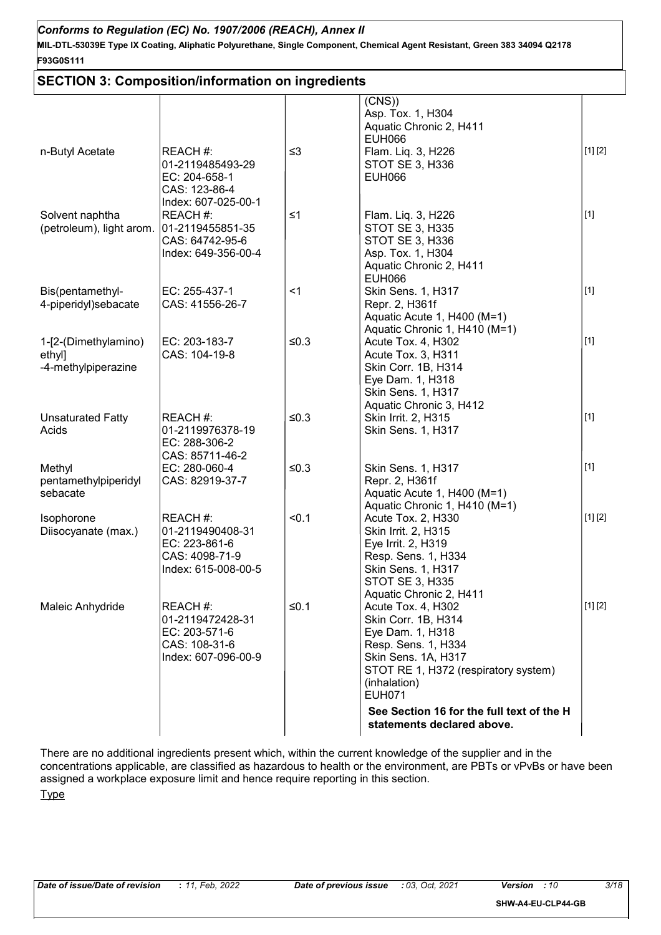| Conforms to Regulation (EC) No. 1907/2006 (REACH), Annex II                                                               |
|---------------------------------------------------------------------------------------------------------------------------|
| MIL-DTL-53039E Type IX Coating, Aliphatic Polyurethane, Single Component, Chemical Agent Resistant, Green 383 34094 Q2178 |
| F93G0S111                                                                                                                 |

# **SECTION 3: Composition/information on ingredients**

|                          |                     |          | (CNS)                                     |         |
|--------------------------|---------------------|----------|-------------------------------------------|---------|
|                          |                     |          |                                           |         |
|                          |                     |          | Asp. Tox. 1, H304                         |         |
|                          |                     |          | Aquatic Chronic 2, H411                   |         |
|                          |                     |          | <b>EUH066</b>                             |         |
| n-Butyl Acetate          | REACH #:            | $\leq$ 3 | Flam. Liq. 3, H226                        | [1] [2] |
|                          | 01-2119485493-29    |          | <b>STOT SE 3, H336</b>                    |         |
|                          | EC: 204-658-1       |          | <b>EUH066</b>                             |         |
|                          | CAS: 123-86-4       |          |                                           |         |
|                          |                     |          |                                           |         |
|                          | Index: 607-025-00-1 |          |                                           |         |
| Solvent naphtha          | REACH#:             | $\leq 1$ | Flam. Liq. 3, H226                        | $[1]$   |
| (petroleum), light arom. | 01-2119455851-35    |          | <b>STOT SE 3, H335</b>                    |         |
|                          | CAS: 64742-95-6     |          | <b>STOT SE 3, H336</b>                    |         |
|                          | Index: 649-356-00-4 |          | Asp. Tox. 1, H304                         |         |
|                          |                     |          | Aquatic Chronic 2, H411                   |         |
|                          |                     |          | <b>EUH066</b>                             |         |
| Bis(pentamethyl-         | EC: 255-437-1       | <1       | Skin Sens. 1, H317                        | $[1]$   |
| 4-piperidyl)sebacate     | CAS: 41556-26-7     |          | Repr. 2, H361f                            |         |
|                          |                     |          | Aquatic Acute 1, H400 (M=1)               |         |
|                          |                     |          | Aquatic Chronic 1, H410 (M=1)             |         |
| 1-[2-(Dimethylamino)     | EC: 203-183-7       | $≤0.3$   | Acute Tox. 4, H302                        | $[1]$   |
|                          | CAS: 104-19-8       |          |                                           |         |
| ethyl]                   |                     |          | Acute Tox. 3, H311                        |         |
| -4-methylpiperazine      |                     |          | Skin Corr. 1B, H314                       |         |
|                          |                     |          | Eye Dam. 1, H318                          |         |
|                          |                     |          | Skin Sens. 1, H317                        |         |
|                          |                     |          | Aquatic Chronic 3, H412                   |         |
| <b>Unsaturated Fatty</b> | REACH #:            | $≤0.3$   | Skin Irrit. 2, H315                       | $[1]$   |
| Acids                    | 01-2119976378-19    |          | Skin Sens. 1, H317                        |         |
|                          | EC: 288-306-2       |          |                                           |         |
|                          | CAS: 85711-46-2     |          |                                           |         |
| Methyl                   | EC: 280-060-4       | ≤ $0.3$  | Skin Sens. 1, H317                        | $[1]$   |
| pentamethylpiperidyl     | CAS: 82919-37-7     |          | Repr. 2, H361f                            |         |
| sebacate                 |                     |          | Aquatic Acute 1, H400 (M=1)               |         |
|                          |                     |          | Aquatic Chronic 1, H410 (M=1)             |         |
|                          | REACH #:            | < 0.1    | Acute Tox. 2, H330                        | [1] [2] |
| Isophorone               |                     |          |                                           |         |
| Diisocyanate (max.)      | 01-2119490408-31    |          | Skin Irrit. 2, H315                       |         |
|                          | EC: 223-861-6       |          | Eye Irrit. 2, H319                        |         |
|                          | CAS: 4098-71-9      |          | Resp. Sens. 1, H334                       |         |
|                          | Index: 615-008-00-5 |          | Skin Sens. 1, H317                        |         |
|                          |                     |          | <b>STOT SE 3, H335</b>                    |         |
|                          |                     |          | Aquatic Chronic 2, H411                   |         |
| Maleic Anhydride         | REACH #:            | ≤0.1     | Acute Tox. 4, H302                        | [1] [2] |
|                          | 01-2119472428-31    |          | Skin Corr. 1B, H314                       |         |
|                          | EC: 203-571-6       |          | Eye Dam. 1, H318                          |         |
|                          | CAS: 108-31-6       |          | Resp. Sens. 1, H334                       |         |
|                          | Index: 607-096-00-9 |          | Skin Sens. 1A, H317                       |         |
|                          |                     |          | STOT RE 1, H372 (respiratory system)      |         |
|                          |                     |          | (inhalation)                              |         |
|                          |                     |          | <b>EUH071</b>                             |         |
|                          |                     |          |                                           |         |
|                          |                     |          | See Section 16 for the full text of the H |         |
|                          |                     |          | statements declared above.                |         |
|                          |                     |          |                                           |         |

There are no additional ingredients present which, within the current knowledge of the supplier and in the concentrations applicable, are classified as hazardous to health or the environment, are PBTs or vPvBs or have been assigned a workplace exposure limit and hence require reporting in this section.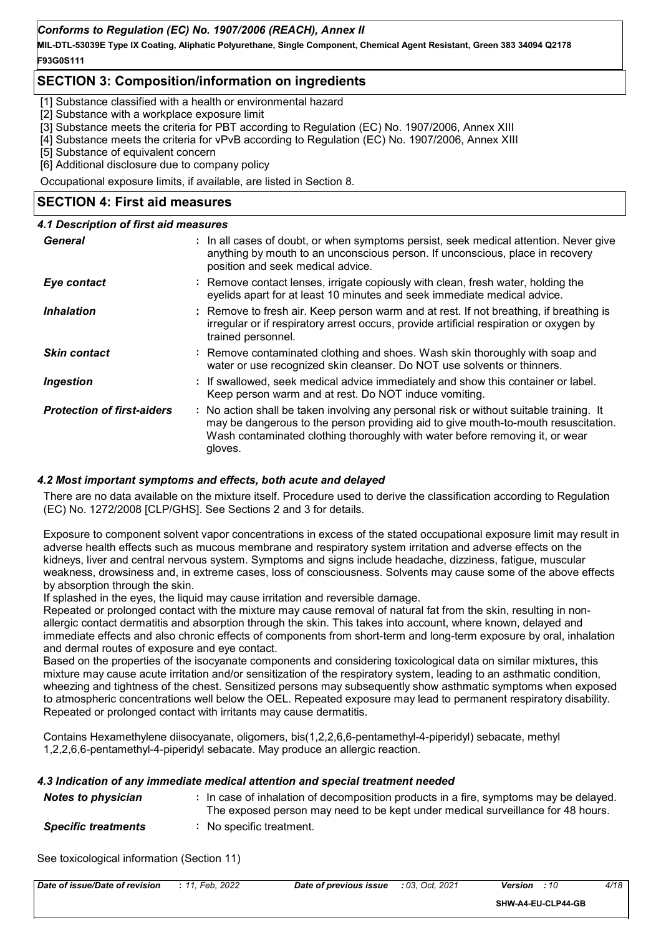**MIL-DTL-53039E Type IX Coating, Aliphatic Polyurethane, Single Component, Chemical Agent Resistant, Green 383 34094 Q2178 F93G0S111**

# **SECTION 3: Composition/information on ingredients**

[1] Substance classified with a health or environmental hazard

[2] Substance with a workplace exposure limit

[3] Substance meets the criteria for PBT according to Regulation (EC) No. 1907/2006, Annex XIII

[4] Substance meets the criteria for vPvB according to Regulation (EC) No. 1907/2006, Annex XIII

[5] Substance of equivalent concern

[6] Additional disclosure due to company policy

Occupational exposure limits, if available, are listed in Section 8.

# **SECTION 4: First aid measures**

#### *4.1 Description of first aid measures*

| <b>General</b>                    | : In all cases of doubt, or when symptoms persist, seek medical attention. Never give<br>anything by mouth to an unconscious person. If unconscious, place in recovery<br>position and seek medical advice.                                                              |
|-----------------------------------|--------------------------------------------------------------------------------------------------------------------------------------------------------------------------------------------------------------------------------------------------------------------------|
| <b>Eye contact</b>                | : Remove contact lenses, irrigate copiously with clean, fresh water, holding the<br>eyelids apart for at least 10 minutes and seek immediate medical advice.                                                                                                             |
| <b>Inhalation</b>                 | : Remove to fresh air. Keep person warm and at rest. If not breathing, if breathing is<br>irregular or if respiratory arrest occurs, provide artificial respiration or oxygen by<br>trained personnel.                                                                   |
| <b>Skin contact</b>               | : Remove contaminated clothing and shoes. Wash skin thoroughly with soap and<br>water or use recognized skin cleanser. Do NOT use solvents or thinners.                                                                                                                  |
| Ingestion                         | : If swallowed, seek medical advice immediately and show this container or label.<br>Keep person warm and at rest. Do NOT induce vomiting.                                                                                                                               |
| <b>Protection of first-aiders</b> | : No action shall be taken involving any personal risk or without suitable training. It<br>may be dangerous to the person providing aid to give mouth-to-mouth resuscitation.<br>Wash contaminated clothing thoroughly with water before removing it, or wear<br>gloves. |

#### *4.2 Most important symptoms and effects, both acute and delayed*

There are no data available on the mixture itself. Procedure used to derive the classification according to Regulation (EC) No. 1272/2008 [CLP/GHS]. See Sections 2 and 3 for details.

Exposure to component solvent vapor concentrations in excess of the stated occupational exposure limit may result in adverse health effects such as mucous membrane and respiratory system irritation and adverse effects on the kidneys, liver and central nervous system. Symptoms and signs include headache, dizziness, fatigue, muscular weakness, drowsiness and, in extreme cases, loss of consciousness. Solvents may cause some of the above effects by absorption through the skin.

If splashed in the eyes, the liquid may cause irritation and reversible damage.

Repeated or prolonged contact with the mixture may cause removal of natural fat from the skin, resulting in nonallergic contact dermatitis and absorption through the skin. This takes into account, where known, delayed and immediate effects and also chronic effects of components from short-term and long-term exposure by oral, inhalation and dermal routes of exposure and eye contact.

Based on the properties of the isocyanate components and considering toxicological data on similar mixtures, this mixture may cause acute irritation and/or sensitization of the respiratory system, leading to an asthmatic condition, wheezing and tightness of the chest. Sensitized persons may subsequently show asthmatic symptoms when exposed to atmospheric concentrations well below the OEL. Repeated exposure may lead to permanent respiratory disability. Repeated or prolonged contact with irritants may cause dermatitis.

Contains Hexamethylene diisocyanate, oligomers, bis(1,2,2,6,6-pentamethyl-4-piperidyl) sebacate, methyl 1,2,2,6,6-pentamethyl-4-piperidyl sebacate. May produce an allergic reaction.

#### *4.3 Indication of any immediate medical attention and special treatment needed*

| <b>Notes to physician</b>  | : In case of inhalation of decomposition products in a fire, symptoms may be delayed.<br>The exposed person may need to be kept under medical surveillance for 48 hours. |
|----------------------------|--------------------------------------------------------------------------------------------------------------------------------------------------------------------------|
| <b>Specific treatments</b> | : No specific treatment.                                                                                                                                                 |

See toxicological information (Section 11)

| Date of issue/Date of revision | 2022<br>Feb. | Date of previous issue | Oct. 2021<br>: 03. | Version<br>: 10 | 4/18 |
|--------------------------------|--------------|------------------------|--------------------|-----------------|------|
|                                |              |                        |                    |                 |      |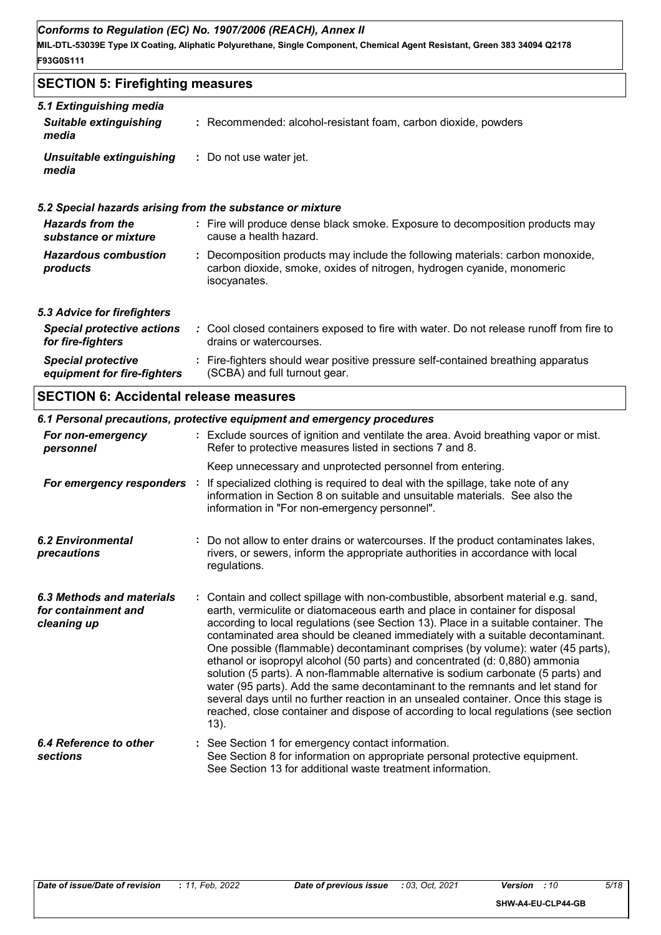**MIL-DTL-53039E Type IX Coating, Aliphatic Polyurethane, Single Component, Chemical Agent Resistant, Green 383 34094 Q2178 F93G0S111**

| <b>SECTION 5: Firefighting measures</b>                  |                                                                                                                                                                          |  |  |  |
|----------------------------------------------------------|--------------------------------------------------------------------------------------------------------------------------------------------------------------------------|--|--|--|
| 5.1 Extinguishing media                                  |                                                                                                                                                                          |  |  |  |
| <b>Suitable extinguishing</b><br>media                   | : Recommended: alcohol-resistant foam, carbon dioxide, powders                                                                                                           |  |  |  |
| Unsuitable extinguishing<br>media                        | : Do not use water jet.                                                                                                                                                  |  |  |  |
|                                                          | 5.2 Special hazards arising from the substance or mixture                                                                                                                |  |  |  |
| <b>Hazards from the</b><br>substance or mixture          | : Fire will produce dense black smoke. Exposure to decomposition products may<br>cause a health hazard.                                                                  |  |  |  |
| <b>Hazardous combustion</b><br>products                  | : Decomposition products may include the following materials: carbon monoxide,<br>carbon dioxide, smoke, oxides of nitrogen, hydrogen cyanide, monomeric<br>isocyanates. |  |  |  |
| 5.3 Advice for firefighters                              |                                                                                                                                                                          |  |  |  |
| <b>Special protective actions</b><br>for fire-fighters   | : Cool closed containers exposed to fire with water. Do not release runoff from fire to<br>drains or watercourses.                                                       |  |  |  |
| <b>Special protective</b><br>equipment for fire-fighters | : Fire-fighters should wear positive pressure self-contained breathing apparatus<br>(SCBA) and full turnout gear.                                                        |  |  |  |

## **SECTION 6: Accidental release measures**

|                                                                 | 6.1 Personal precautions, protective equipment and emergency procedures                                                                                                                                                                                                                                                                                                                                                                                                                                                                                                                                                                                                                                                                                                                                                                                                       |
|-----------------------------------------------------------------|-------------------------------------------------------------------------------------------------------------------------------------------------------------------------------------------------------------------------------------------------------------------------------------------------------------------------------------------------------------------------------------------------------------------------------------------------------------------------------------------------------------------------------------------------------------------------------------------------------------------------------------------------------------------------------------------------------------------------------------------------------------------------------------------------------------------------------------------------------------------------------|
| For non-emergency<br>personnel                                  | : Exclude sources of ignition and ventilate the area. Avoid breathing vapor or mist.<br>Refer to protective measures listed in sections 7 and 8.                                                                                                                                                                                                                                                                                                                                                                                                                                                                                                                                                                                                                                                                                                                              |
|                                                                 | Keep unnecessary and unprotected personnel from entering.                                                                                                                                                                                                                                                                                                                                                                                                                                                                                                                                                                                                                                                                                                                                                                                                                     |
| For emergency responders :                                      | If specialized clothing is required to deal with the spillage, take note of any<br>information in Section 8 on suitable and unsuitable materials. See also the<br>information in "For non-emergency personnel".                                                                                                                                                                                                                                                                                                                                                                                                                                                                                                                                                                                                                                                               |
| <b>6.2 Environmental</b><br>precautions                         | : Do not allow to enter drains or watercourses. If the product contaminates lakes,<br>rivers, or sewers, inform the appropriate authorities in accordance with local<br>regulations.                                                                                                                                                                                                                                                                                                                                                                                                                                                                                                                                                                                                                                                                                          |
| 6.3 Methods and materials<br>for containment and<br>cleaning up | : Contain and collect spillage with non-combustible, absorbent material e.g. sand,<br>earth, vermiculite or diatomaceous earth and place in container for disposal<br>according to local regulations (see Section 13). Place in a suitable container. The<br>contaminated area should be cleaned immediately with a suitable decontaminant.<br>One possible (flammable) decontaminant comprises (by volume): water (45 parts),<br>ethanol or isopropyl alcohol (50 parts) and concentrated (d: 0,880) ammonia<br>solution (5 parts). A non-flammable alternative is sodium carbonate (5 parts) and<br>water (95 parts). Add the same decontaminant to the remnants and let stand for<br>several days until no further reaction in an unsealed container. Once this stage is<br>reached, close container and dispose of according to local regulations (see section<br>$13)$ . |
| 6.4 Reference to other<br>sections                              | : See Section 1 for emergency contact information.<br>See Section 8 for information on appropriate personal protective equipment.<br>See Section 13 for additional waste treatment information.                                                                                                                                                                                                                                                                                                                                                                                                                                                                                                                                                                                                                                                                               |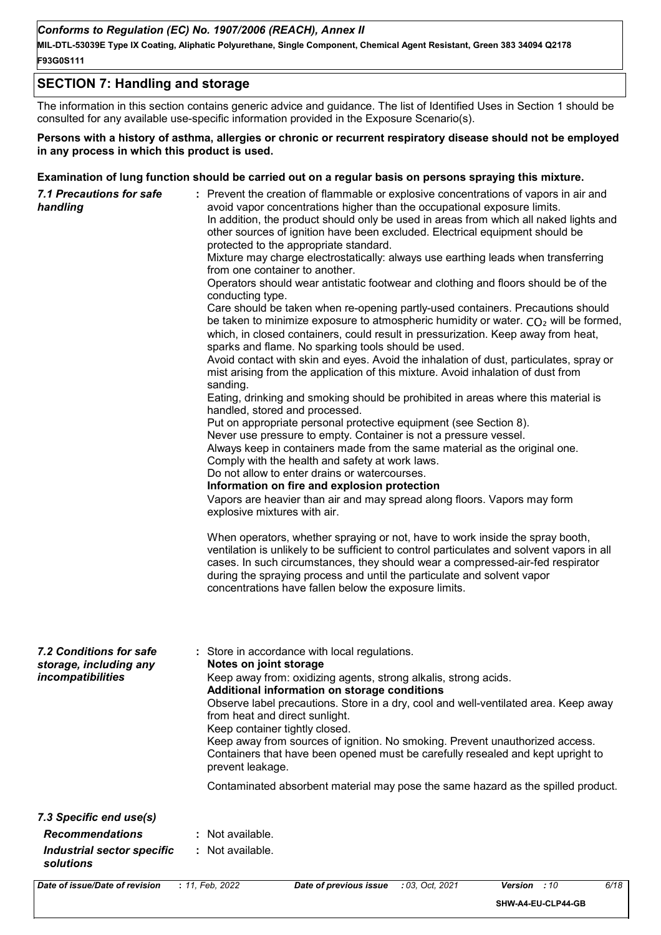**MIL-DTL-53039E Type IX Coating, Aliphatic Polyurethane, Single Component, Chemical Agent Resistant, Green 383 34094 Q2178 F93G0S111**

## **SECTION 7: Handling and storage**

The information in this section contains generic advice and guidance. The list of Identified Uses in Section 1 should be consulted for any available use-specific information provided in the Exposure Scenario(s).

#### **Persons with a history of asthma, allergies or chronic or recurrent respiratory disease should not be employed in any process in which this product is used.**

|                                                                        | Examination of lung function should be carried out on a regular basis on persons spraying this mixture.                                                                                                                                                                                                                                                                                                                                                                                                                                                                                                                                                                                                                                                                                                                                                                                                                                                                                                                                                                                                                                                                                                                                                                                                                                                                                                                                                                                                                                                                                                                                                                                                                                                                                                                                                                                                                                                                                                                                                                                                                                                   |
|------------------------------------------------------------------------|-----------------------------------------------------------------------------------------------------------------------------------------------------------------------------------------------------------------------------------------------------------------------------------------------------------------------------------------------------------------------------------------------------------------------------------------------------------------------------------------------------------------------------------------------------------------------------------------------------------------------------------------------------------------------------------------------------------------------------------------------------------------------------------------------------------------------------------------------------------------------------------------------------------------------------------------------------------------------------------------------------------------------------------------------------------------------------------------------------------------------------------------------------------------------------------------------------------------------------------------------------------------------------------------------------------------------------------------------------------------------------------------------------------------------------------------------------------------------------------------------------------------------------------------------------------------------------------------------------------------------------------------------------------------------------------------------------------------------------------------------------------------------------------------------------------------------------------------------------------------------------------------------------------------------------------------------------------------------------------------------------------------------------------------------------------------------------------------------------------------------------------------------------------|
| 7.1 Precautions for safe<br>handling                                   | : Prevent the creation of flammable or explosive concentrations of vapors in air and<br>avoid vapor concentrations higher than the occupational exposure limits.<br>In addition, the product should only be used in areas from which all naked lights and<br>other sources of ignition have been excluded. Electrical equipment should be<br>protected to the appropriate standard.<br>Mixture may charge electrostatically: always use earthing leads when transferring<br>from one container to another.<br>Operators should wear antistatic footwear and clothing and floors should be of the<br>conducting type.<br>Care should be taken when re-opening partly-used containers. Precautions should<br>be taken to minimize exposure to atmospheric humidity or water. $CO2$ will be formed,<br>which, in closed containers, could result in pressurization. Keep away from heat,<br>sparks and flame. No sparking tools should be used.<br>Avoid contact with skin and eyes. Avoid the inhalation of dust, particulates, spray or<br>mist arising from the application of this mixture. Avoid inhalation of dust from<br>sanding.<br>Eating, drinking and smoking should be prohibited in areas where this material is<br>handled, stored and processed.<br>Put on appropriate personal protective equipment (see Section 8).<br>Never use pressure to empty. Container is not a pressure vessel.<br>Always keep in containers made from the same material as the original one.<br>Comply with the health and safety at work laws.<br>Do not allow to enter drains or watercourses.<br>Information on fire and explosion protection<br>Vapors are heavier than air and may spread along floors. Vapors may form<br>explosive mixtures with air.<br>When operators, whether spraying or not, have to work inside the spray booth,<br>ventilation is unlikely to be sufficient to control particulates and solvent vapors in all<br>cases. In such circumstances, they should wear a compressed-air-fed respirator<br>during the spraying process and until the particulate and solvent vapor<br>concentrations have fallen below the exposure limits. |
| 7.2 Conditions for safe<br>storage, including any<br>incompatibilities | : Store in accordance with local regulations.<br>Notes on joint storage<br>Keep away from: oxidizing agents, strong alkalis, strong acids.<br>Additional information on storage conditions<br>Observe label precautions. Store in a dry, cool and well-ventilated area. Keep away<br>from heat and direct sunlight.<br>Keep container tightly closed.<br>Keep away from sources of ignition. No smoking. Prevent unauthorized access.<br>Containers that have been opened must be carefully resealed and kept upright to<br>prevent leakage.<br>Contaminated absorbent material may pose the same hazard as the spilled product.                                                                                                                                                                                                                                                                                                                                                                                                                                                                                                                                                                                                                                                                                                                                                                                                                                                                                                                                                                                                                                                                                                                                                                                                                                                                                                                                                                                                                                                                                                                          |
| 7.3 Specific end use(s)                                                |                                                                                                                                                                                                                                                                                                                                                                                                                                                                                                                                                                                                                                                                                                                                                                                                                                                                                                                                                                                                                                                                                                                                                                                                                                                                                                                                                                                                                                                                                                                                                                                                                                                                                                                                                                                                                                                                                                                                                                                                                                                                                                                                                           |
| <b>Recommendations</b>                                                 | : Not available.                                                                                                                                                                                                                                                                                                                                                                                                                                                                                                                                                                                                                                                                                                                                                                                                                                                                                                                                                                                                                                                                                                                                                                                                                                                                                                                                                                                                                                                                                                                                                                                                                                                                                                                                                                                                                                                                                                                                                                                                                                                                                                                                          |
| <b>Industrial sector specific</b><br>solutions                         | : Not available.                                                                                                                                                                                                                                                                                                                                                                                                                                                                                                                                                                                                                                                                                                                                                                                                                                                                                                                                                                                                                                                                                                                                                                                                                                                                                                                                                                                                                                                                                                                                                                                                                                                                                                                                                                                                                                                                                                                                                                                                                                                                                                                                          |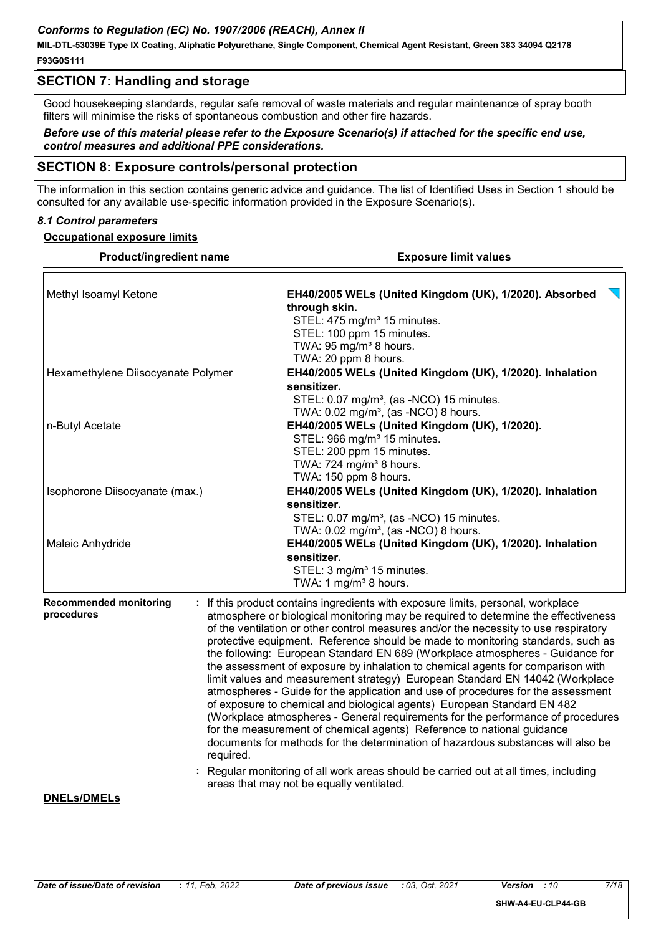**MIL-DTL-53039E Type IX Coating, Aliphatic Polyurethane, Single Component, Chemical Agent Resistant, Green 383 34094 Q2178 F93G0S111**

## **SECTION 7: Handling and storage**

Good housekeeping standards, regular safe removal of waste materials and regular maintenance of spray booth filters will minimise the risks of spontaneous combustion and other fire hazards.

#### *Before use of this material please refer to the Exposure Scenario(s) if attached for the specific end use, control measures and additional PPE considerations.*

#### **SECTION 8: Exposure controls/personal protection**

The information in this section contains generic advice and guidance. The list of Identified Uses in Section 1 should be consulted for any available use-specific information provided in the Exposure Scenario(s).

**Product/ingredient name Exposure limit values**

#### *8.1 Control parameters*

#### **Occupational exposure limits**

| Methyl Isoamyl Ketone                       | EH40/2005 WELs (United Kingdom (UK), 1/2020). Absorbed<br>through skin.<br>STEL: 475 mg/m <sup>3</sup> 15 minutes.<br>STEL: 100 ppm 15 minutes.<br>TWA: 95 mg/m <sup>3</sup> 8 hours.<br>TWA: 20 ppm 8 hours.                                                                                                                                                                                                                                                                                                                                                                                                                                                                                                                                                                                                                                                                                                                                                                                                                                                                                                            |
|---------------------------------------------|--------------------------------------------------------------------------------------------------------------------------------------------------------------------------------------------------------------------------------------------------------------------------------------------------------------------------------------------------------------------------------------------------------------------------------------------------------------------------------------------------------------------------------------------------------------------------------------------------------------------------------------------------------------------------------------------------------------------------------------------------------------------------------------------------------------------------------------------------------------------------------------------------------------------------------------------------------------------------------------------------------------------------------------------------------------------------------------------------------------------------|
| Hexamethylene Diisocyanate Polymer          | EH40/2005 WELs (United Kingdom (UK), 1/2020). Inhalation<br>sensitizer.<br>STEL: 0.07 mg/m <sup>3</sup> , (as -NCO) 15 minutes.<br>TWA: 0.02 mg/m <sup>3</sup> , (as -NCO) 8 hours.                                                                                                                                                                                                                                                                                                                                                                                                                                                                                                                                                                                                                                                                                                                                                                                                                                                                                                                                      |
| n-Butyl Acetate                             | EH40/2005 WELs (United Kingdom (UK), 1/2020).<br>STEL: 966 mg/m <sup>3</sup> 15 minutes.<br>STEL: 200 ppm 15 minutes.<br>TWA: 724 mg/m <sup>3</sup> 8 hours.<br>TWA: 150 ppm 8 hours.                                                                                                                                                                                                                                                                                                                                                                                                                                                                                                                                                                                                                                                                                                                                                                                                                                                                                                                                    |
| Isophorone Diisocyanate (max.)              | EH40/2005 WELs (United Kingdom (UK), 1/2020). Inhalation<br>sensitizer.<br>STEL: 0.07 mg/m <sup>3</sup> , (as -NCO) 15 minutes.<br>TWA: 0.02 mg/m <sup>3</sup> , (as -NCO) 8 hours.                                                                                                                                                                                                                                                                                                                                                                                                                                                                                                                                                                                                                                                                                                                                                                                                                                                                                                                                      |
| Maleic Anhydride                            | EH40/2005 WELs (United Kingdom (UK), 1/2020). Inhalation<br>sensitizer.<br>STEL: 3 mg/m <sup>3</sup> 15 minutes.<br>TWA: 1 mg/m <sup>3</sup> 8 hours.                                                                                                                                                                                                                                                                                                                                                                                                                                                                                                                                                                                                                                                                                                                                                                                                                                                                                                                                                                    |
| <b>Recommended monitoring</b><br>procedures | If this product contains ingredients with exposure limits, personal, workplace<br>atmosphere or biological monitoring may be required to determine the effectiveness<br>of the ventilation or other control measures and/or the necessity to use respiratory<br>protective equipment. Reference should be made to monitoring standards, such as<br>the following: European Standard EN 689 (Workplace atmospheres - Guidance for<br>the assessment of exposure by inhalation to chemical agents for comparison with<br>limit values and measurement strategy) European Standard EN 14042 (Workplace<br>atmospheres - Guide for the application and use of procedures for the assessment<br>of exposure to chemical and biological agents) European Standard EN 482<br>(Workplace atmospheres - General requirements for the performance of procedures<br>for the measurement of chemical agents) Reference to national guidance<br>documents for methods for the determination of hazardous substances will also be<br>required.<br>: Regular monitoring of all work areas should be carried out at all times, including |
| <b>DNELs/DMELs</b>                          | areas that may not be equally ventilated.                                                                                                                                                                                                                                                                                                                                                                                                                                                                                                                                                                                                                                                                                                                                                                                                                                                                                                                                                                                                                                                                                |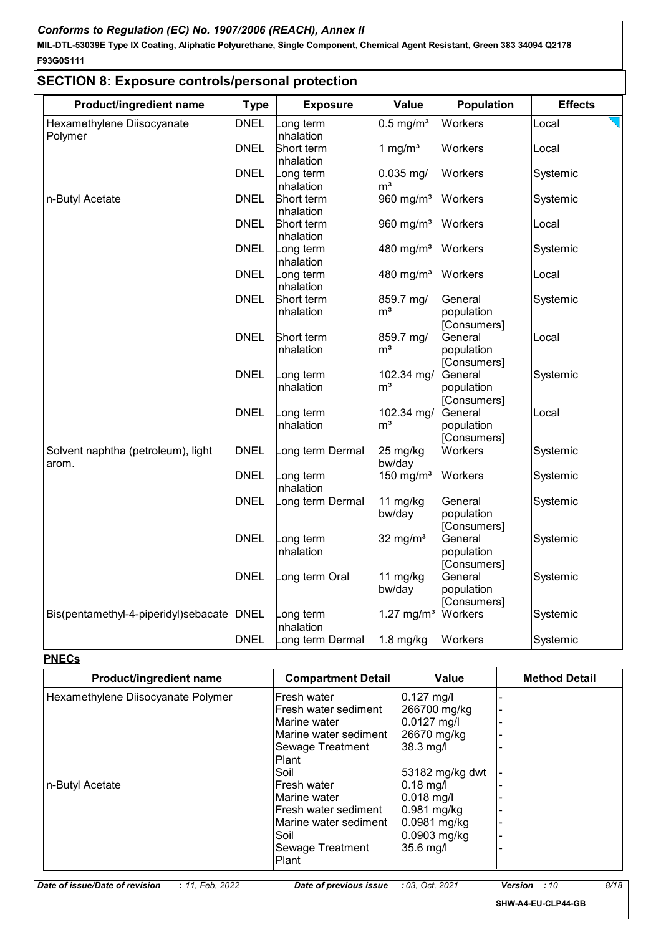**MIL-DTL-53039E Type IX Coating, Aliphatic Polyurethane, Single Component, Chemical Agent Resistant, Green 383 34094 Q2178 F93G0S111**

| <b>Product/ingredient name</b>       | <b>Type</b> | <b>Exposure</b> | Value                    | <b>Population</b> | <b>Effects</b> |
|--------------------------------------|-------------|-----------------|--------------------------|-------------------|----------------|
| Hexamethylene Diisocyanate           | <b>DNEL</b> | ong term        | $0.5$ mg/m <sup>3</sup>  | Workers           | Local          |
| Polymer                              |             | Inhalation      |                          |                   |                |
|                                      | <b>DNEL</b> | Short term      | 1 mg/ $m3$               | Workers           | Local          |
|                                      |             | Inhalation      |                          |                   |                |
|                                      | <b>DNEL</b> | ong term        | $0.035$ mg/              | Workers           | Systemic       |
|                                      |             | Inhalation      | m <sup>3</sup>           |                   |                |
| n-Butyl Acetate                      | <b>DNEL</b> | Short term      | 960 mg/m <sup>3</sup>    | Workers           | Systemic       |
|                                      |             | Inhalation      |                          |                   |                |
|                                      | <b>DNEL</b> | Short term      | 960 mg/ $m3$             | Workers           | Local          |
|                                      |             | Inhalation      |                          |                   |                |
|                                      | <b>DNEL</b> | ong term        | 480 mg/m <sup>3</sup>    | Workers           | Systemic       |
|                                      |             | nhalation       |                          |                   |                |
|                                      | <b>DNEL</b> | ong term        | 480 mg/m <sup>3</sup>    | Workers           | Local          |
|                                      |             | nhalation       |                          |                   |                |
|                                      | <b>DNEL</b> | Short term      | 859.7 mg/                | General           | Systemic       |
|                                      |             | Inhalation      | m <sup>3</sup>           | population        |                |
|                                      |             |                 |                          | [Consumers]       |                |
|                                      | <b>DNEL</b> | Short term      | 859.7 mg/                | General           | Local          |
|                                      |             | nhalation       | m <sup>3</sup>           | population        |                |
|                                      |             |                 |                          | [Consumers]       |                |
|                                      | <b>DNEL</b> | ong term        | 102.34 mg/               | General           | Systemic       |
|                                      |             | nhalation       | m <sup>3</sup>           | population        |                |
|                                      |             |                 |                          | [Consumers]       |                |
|                                      | <b>DNEL</b> | ong term        | 102.34 mg/               | General           | Local          |
|                                      |             | nhalation       | m <sup>3</sup>           | population        |                |
|                                      |             |                 |                          | [Consumers]       |                |
| Solvent naphtha (petroleum), light   | <b>DNEL</b> | ong term Dermal | 25 mg/kg                 | Workers           | Systemic       |
| arom.                                |             |                 | bw/day                   |                   |                |
|                                      | <b>DNEL</b> | ong term        | 150 mg/ $m3$             | Workers           | Systemic       |
|                                      |             | nhalation       |                          |                   |                |
|                                      | <b>DNEL</b> | ong term Dermal | 11 $mg/kg$               | General           | Systemic       |
|                                      |             |                 | bw/day                   | population        |                |
|                                      |             |                 |                          | [Consumers]       |                |
|                                      | <b>DNEL</b> | ong term        | 32 mg/ $m3$              | General           | Systemic       |
|                                      |             | nhalation       |                          | population        |                |
|                                      |             |                 |                          | [Consumers]       |                |
|                                      | <b>DNEL</b> | ong term Oral   | 11 mg/kg                 | General           | Systemic       |
|                                      |             |                 | bw/day                   | population        |                |
|                                      |             |                 |                          | [Consumers]       |                |
| Bis(pentamethyl-4-piperidyl)sebacate | <b>DNEL</b> | ong term        | $1.27$ mg/m <sup>3</sup> | Workers           | Systemic       |
|                                      |             | nhalation       |                          |                   |                |
|                                      |             |                 |                          |                   |                |

# **SECTION 8: Exposure controls/personal protection**

#### **PNECs**

| Product/ingredient name            | <b>Compartment Detail</b> | Value           | <b>Method Detail</b> |
|------------------------------------|---------------------------|-----------------|----------------------|
| Hexamethylene Diisocyanate Polymer | Fresh water               | $0.127$ mg/l    |                      |
|                                    | Fresh water sediment      | 266700 mg/kg    |                      |
|                                    | lMarine water             | $0.0127$ mg/l   |                      |
|                                    | Marine water sediment     | 26670 mg/kg     |                      |
|                                    | Sewage Treatment          | 38.3 mg/l       |                      |
|                                    | Plant                     |                 |                      |
|                                    | Soil                      | 53182 mg/kg dwt |                      |
| n-Butyl Acetate                    | Fresh water               | $0.18$ mg/l     |                      |
|                                    | lMarine water             | $0.018$ mg/l    |                      |
|                                    | lFresh water sediment     | 0.981 mg/kg     |                      |
|                                    | lMarine water sediment    | 0.0981 mg/kg    |                      |
|                                    | Soil                      | $0.0903$ mg/kg  |                      |
|                                    | Sewage Treatment          | 35.6 mg/l       |                      |
|                                    | Plant                     |                 |                      |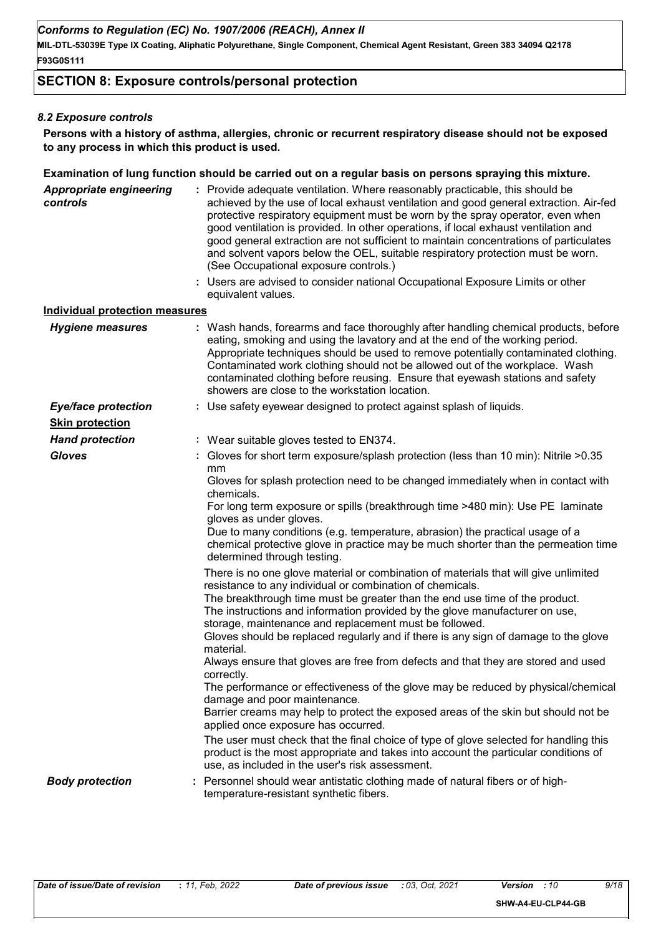**MIL-DTL-53039E Type IX Coating, Aliphatic Polyurethane, Single Component, Chemical Agent Resistant, Green 383 34094 Q2178 F93G0S111**

# **SECTION 8: Exposure controls/personal protection**

## *8.2 Exposure controls*

**Persons with a history of asthma, allergies, chronic or recurrent respiratory disease should not be exposed to any process in which this product is used.**

#### **Examination of lung function should be carried out on a regular basis on persons spraying this mixture.**

| <b>Appropriate engineering</b><br>controls | : Provide adequate ventilation. Where reasonably practicable, this should be<br>achieved by the use of local exhaust ventilation and good general extraction. Air-fed<br>protective respiratory equipment must be worn by the spray operator, even when<br>good ventilation is provided. In other operations, if local exhaust ventilation and<br>good general extraction are not sufficient to maintain concentrations of particulates<br>and solvent vapors below the OEL, suitable respiratory protection must be worn.<br>(See Occupational exposure controls.) |  |
|--------------------------------------------|---------------------------------------------------------------------------------------------------------------------------------------------------------------------------------------------------------------------------------------------------------------------------------------------------------------------------------------------------------------------------------------------------------------------------------------------------------------------------------------------------------------------------------------------------------------------|--|
|                                            | : Users are advised to consider national Occupational Exposure Limits or other<br>equivalent values.                                                                                                                                                                                                                                                                                                                                                                                                                                                                |  |
| <b>Individual protection measures</b>      |                                                                                                                                                                                                                                                                                                                                                                                                                                                                                                                                                                     |  |
| <b>Hygiene measures</b>                    | : Wash hands, forearms and face thoroughly after handling chemical products, before<br>eating, smoking and using the lavatory and at the end of the working period.<br>Appropriate techniques should be used to remove potentially contaminated clothing.<br>Contaminated work clothing should not be allowed out of the workplace. Wash<br>contaminated clothing before reusing. Ensure that eyewash stations and safety<br>showers are close to the workstation location.                                                                                         |  |
| <b>Eye/face protection</b>                 | : Use safety eyewear designed to protect against splash of liquids.                                                                                                                                                                                                                                                                                                                                                                                                                                                                                                 |  |
| <b>Skin protection</b>                     |                                                                                                                                                                                                                                                                                                                                                                                                                                                                                                                                                                     |  |
| <b>Hand protection</b>                     | : Wear suitable gloves tested to EN374.                                                                                                                                                                                                                                                                                                                                                                                                                                                                                                                             |  |
| <b>Gloves</b>                              | : Gloves for short term exposure/splash protection (less than 10 min): Nitrile >0.35<br>mm<br>Gloves for splash protection need to be changed immediately when in contact with                                                                                                                                                                                                                                                                                                                                                                                      |  |
|                                            | chemicals.<br>For long term exposure or spills (breakthrough time >480 min): Use PE laminate<br>gloves as under gloves.<br>Due to many conditions (e.g. temperature, abrasion) the practical usage of a<br>chemical protective glove in practice may be much shorter than the permeation time<br>determined through testing.                                                                                                                                                                                                                                        |  |
|                                            | There is no one glove material or combination of materials that will give unlimited<br>resistance to any individual or combination of chemicals.<br>The breakthrough time must be greater than the end use time of the product.<br>The instructions and information provided by the glove manufacturer on use,                                                                                                                                                                                                                                                      |  |
|                                            | storage, maintenance and replacement must be followed.<br>Gloves should be replaced regularly and if there is any sign of damage to the glove<br>material.                                                                                                                                                                                                                                                                                                                                                                                                          |  |
|                                            | Always ensure that gloves are free from defects and that they are stored and used<br>correctly.                                                                                                                                                                                                                                                                                                                                                                                                                                                                     |  |
|                                            | The performance or effectiveness of the glove may be reduced by physical/chemical<br>damage and poor maintenance.                                                                                                                                                                                                                                                                                                                                                                                                                                                   |  |
|                                            | Barrier creams may help to protect the exposed areas of the skin but should not be<br>applied once exposure has occurred.                                                                                                                                                                                                                                                                                                                                                                                                                                           |  |
|                                            | The user must check that the final choice of type of glove selected for handling this<br>product is the most appropriate and takes into account the particular conditions of<br>use, as included in the user's risk assessment.                                                                                                                                                                                                                                                                                                                                     |  |
| <b>Body protection</b>                     | Personnel should wear antistatic clothing made of natural fibers or of high-<br>temperature-resistant synthetic fibers.                                                                                                                                                                                                                                                                                                                                                                                                                                             |  |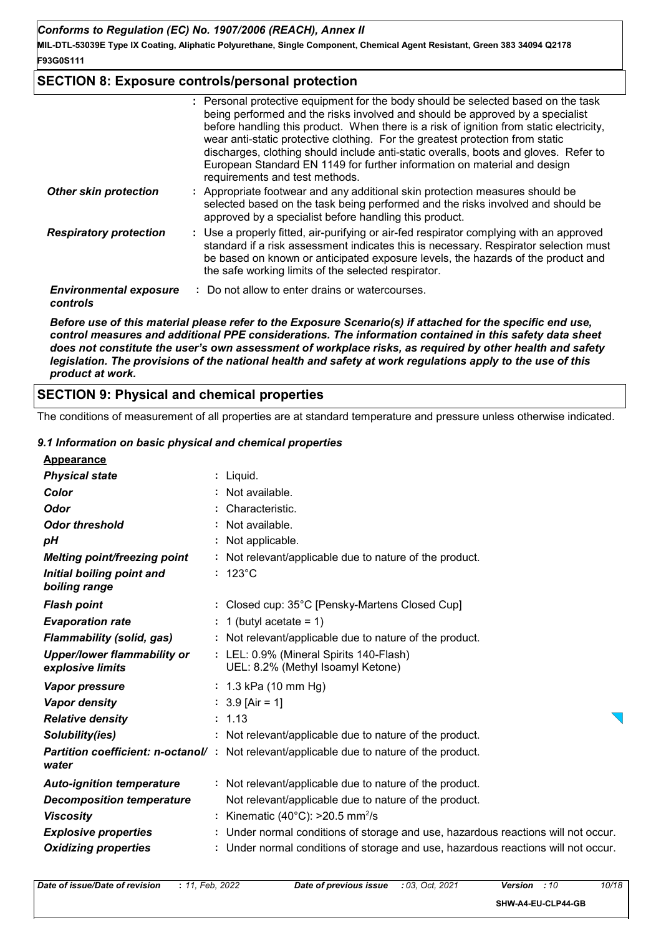**MIL-DTL-53039E Type IX Coating, Aliphatic Polyurethane, Single Component, Chemical Agent Resistant, Green 383 34094 Q2178 F93G0S111**

# **SECTION 8: Exposure controls/personal protection**

|                                           | : Personal protective equipment for the body should be selected based on the task<br>being performed and the risks involved and should be approved by a specialist<br>before handling this product. When there is a risk of ignition from static electricity,<br>wear anti-static protective clothing. For the greatest protection from static<br>discharges, clothing should include anti-static overalls, boots and gloves. Refer to<br>European Standard EN 1149 for further information on material and design<br>requirements and test methods. |
|-------------------------------------------|------------------------------------------------------------------------------------------------------------------------------------------------------------------------------------------------------------------------------------------------------------------------------------------------------------------------------------------------------------------------------------------------------------------------------------------------------------------------------------------------------------------------------------------------------|
| <b>Other skin protection</b>              | : Appropriate footwear and any additional skin protection measures should be<br>selected based on the task being performed and the risks involved and should be<br>approved by a specialist before handling this product.                                                                                                                                                                                                                                                                                                                            |
| <b>Respiratory protection</b>             | : Use a properly fitted, air-purifying or air-fed respirator complying with an approved<br>standard if a risk assessment indicates this is necessary. Respirator selection must<br>be based on known or anticipated exposure levels, the hazards of the product and<br>the safe working limits of the selected respirator.                                                                                                                                                                                                                           |
| <b>Environmental exposure</b><br>controls | : Do not allow to enter drains or watercourses.                                                                                                                                                                                                                                                                                                                                                                                                                                                                                                      |
|                                           |                                                                                                                                                                                                                                                                                                                                                                                                                                                                                                                                                      |

*Before use of this material please refer to the Exposure Scenario(s) if attached for the specific end use, control measures and additional PPE considerations. The information contained in this safety data sheet does not constitute the user's own assessment of workplace risks, as required by other health and safety legislation. The provisions of the national health and safety at work regulations apply to the use of this product at work.*

# **SECTION 9: Physical and chemical properties**

The conditions of measurement of all properties are at standard temperature and pressure unless otherwise indicated.

#### *9.1 Information on basic physical and chemical properties*

| Appearance |  |
|------------|--|
|            |  |

| <u>Appearance</u>                                      |                                                                                                  |
|--------------------------------------------------------|--------------------------------------------------------------------------------------------------|
| <b>Physical state</b>                                  | : Liquid.                                                                                        |
| Color                                                  | : Not available.                                                                                 |
| <b>Odor</b>                                            | Characteristic.                                                                                  |
| <b>Odor threshold</b>                                  | : Not available.                                                                                 |
| pH                                                     | : Not applicable.                                                                                |
| <b>Melting point/freezing point</b>                    | : Not relevant/applicable due to nature of the product.                                          |
| Initial boiling point and<br>boiling range             | $: 123^{\circ}$ C                                                                                |
| <b>Flash point</b>                                     | : Closed cup: 35°C [Pensky-Martens Closed Cup]                                                   |
| <b>Evaporation rate</b>                                | : 1 (butyl acetate = 1)                                                                          |
| <b>Flammability (solid, gas)</b>                       | : Not relevant/applicable due to nature of the product.                                          |
| <b>Upper/lower flammability or</b><br>explosive limits | : LEL: 0.9% (Mineral Spirits 140-Flash)<br>UEL: 8.2% (Methyl Isoamyl Ketone)                     |
| <b>Vapor pressure</b>                                  | : $1.3$ kPa (10 mm Hg)                                                                           |
| <b>Vapor density</b>                                   | $: 3.9$ [Air = 1]                                                                                |
| <b>Relative density</b>                                | : 1.13                                                                                           |
| Solubility(ies)                                        | : Not relevant/applicable due to nature of the product.                                          |
| water                                                  | <b>Partition coefficient: n-octanol/</b> : Not relevant/applicable due to nature of the product. |
| <b>Auto-ignition temperature</b>                       | : Not relevant/applicable due to nature of the product.                                          |
| <b>Decomposition temperature</b>                       | Not relevant/applicable due to nature of the product.                                            |
| <b>Viscosity</b>                                       | : Kinematic (40°C): >20.5 mm <sup>2</sup> /s                                                     |
| <b>Explosive properties</b>                            | : Under normal conditions of storage and use, hazardous reactions will not occur.                |
| <b>Oxidizing properties</b>                            | : Under normal conditions of storage and use, hazardous reactions will not occur.                |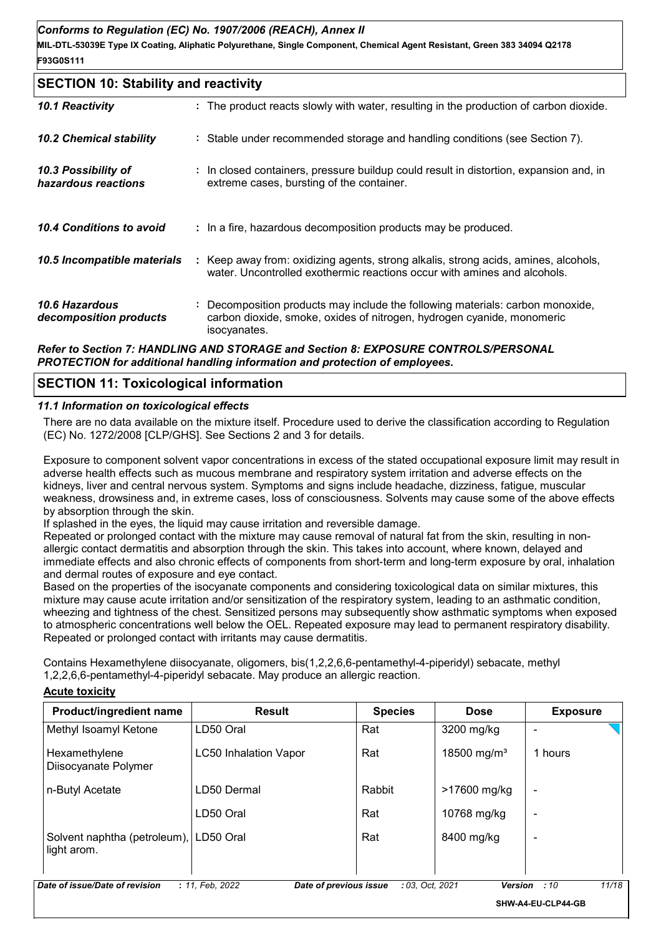**MIL-DTL-53039E Type IX Coating, Aliphatic Polyurethane, Single Component, Chemical Agent Resistant, Green 383 34094 Q2178 F93G0S111**

| <b>SECTION 10: Stability and reactivity</b>     |  |                                                                                                                                                                          |  |  |
|-------------------------------------------------|--|--------------------------------------------------------------------------------------------------------------------------------------------------------------------------|--|--|
| 10.1 Reactivity                                 |  | : The product reacts slowly with water, resulting in the production of carbon dioxide.                                                                                   |  |  |
| <b>10.2 Chemical stability</b>                  |  | : Stable under recommended storage and handling conditions (see Section 7).                                                                                              |  |  |
| 10.3 Possibility of<br>hazardous reactions      |  | : In closed containers, pressure buildup could result in distortion, expansion and, in<br>extreme cases, bursting of the container.                                      |  |  |
| 10.4 Conditions to avoid                        |  | : In a fire, hazardous decomposition products may be produced.                                                                                                           |  |  |
| 10.5 Incompatible materials                     |  | : Keep away from: oxidizing agents, strong alkalis, strong acids, amines, alcohols,<br>water. Uncontrolled exothermic reactions occur with amines and alcohols.          |  |  |
| <b>10.6 Hazardous</b><br>decomposition products |  | : Decomposition products may include the following materials: carbon monoxide,<br>carbon dioxide, smoke, oxides of nitrogen, hydrogen cyanide, monomeric<br>isocyanates. |  |  |
|                                                 |  | Refer to Section 7: HANDLING AND STORAGE and Section 8: EXPOSURE CONTROLS/PERSONAL                                                                                       |  |  |

## *PROTECTION for additional handling information and protection of employees.*

# **SECTION 11: Toxicological information**

#### *11.1 Information on toxicological effects*

There are no data available on the mixture itself. Procedure used to derive the classification according to Regulation (EC) No. 1272/2008 [CLP/GHS]. See Sections 2 and 3 for details.

Exposure to component solvent vapor concentrations in excess of the stated occupational exposure limit may result in adverse health effects such as mucous membrane and respiratory system irritation and adverse effects on the kidneys, liver and central nervous system. Symptoms and signs include headache, dizziness, fatigue, muscular weakness, drowsiness and, in extreme cases, loss of consciousness. Solvents may cause some of the above effects by absorption through the skin.

If splashed in the eyes, the liquid may cause irritation and reversible damage.

Repeated or prolonged contact with the mixture may cause removal of natural fat from the skin, resulting in nonallergic contact dermatitis and absorption through the skin. This takes into account, where known, delayed and immediate effects and also chronic effects of components from short-term and long-term exposure by oral, inhalation and dermal routes of exposure and eye contact.

Based on the properties of the isocyanate components and considering toxicological data on similar mixtures, this mixture may cause acute irritation and/or sensitization of the respiratory system, leading to an asthmatic condition, wheezing and tightness of the chest. Sensitized persons may subsequently show asthmatic symptoms when exposed to atmospheric concentrations well below the OEL. Repeated exposure may lead to permanent respiratory disability. Repeated or prolonged contact with irritants may cause dermatitis.

Contains Hexamethylene diisocyanate, oligomers, bis(1,2,2,6,6-pentamethyl-4-piperidyl) sebacate, methyl 1,2,2,6,6-pentamethyl-4-piperidyl sebacate. May produce an allergic reaction.

#### **Acute toxicity**

| Product/ingredient name                     | <b>Result</b>                | <b>Species</b>         | <b>Dose</b>                       | <b>Exposure</b>                    |  |
|---------------------------------------------|------------------------------|------------------------|-----------------------------------|------------------------------------|--|
| Methyl Isoamyl Ketone                       | LD50 Oral                    | Rat                    | 3200 mg/kg                        |                                    |  |
| Hexamethylene<br>Diisocyanate Polymer       | <b>LC50 Inhalation Vapor</b> | Rat                    | 18500 mg/m <sup>3</sup>           | 1 hours                            |  |
| n-Butyl Acetate                             | LD50 Dermal                  | Rabbit                 | >17600 mg/kg                      | -                                  |  |
|                                             | LD50 Oral                    | Rat                    | 10768 mg/kg                       | ۰                                  |  |
| Solvent naphtha (petroleum),<br>light arom. | LD50 Oral                    | Rat                    | 8400 mg/kg                        | -                                  |  |
| Date of issue/Date of revision              | : 11, Feb, 2022              | Date of previous issue | <b>Version</b><br>: 03, Oct. 2021 | 11/18<br>:10<br>SHW-A4-EU-CLP44-GB |  |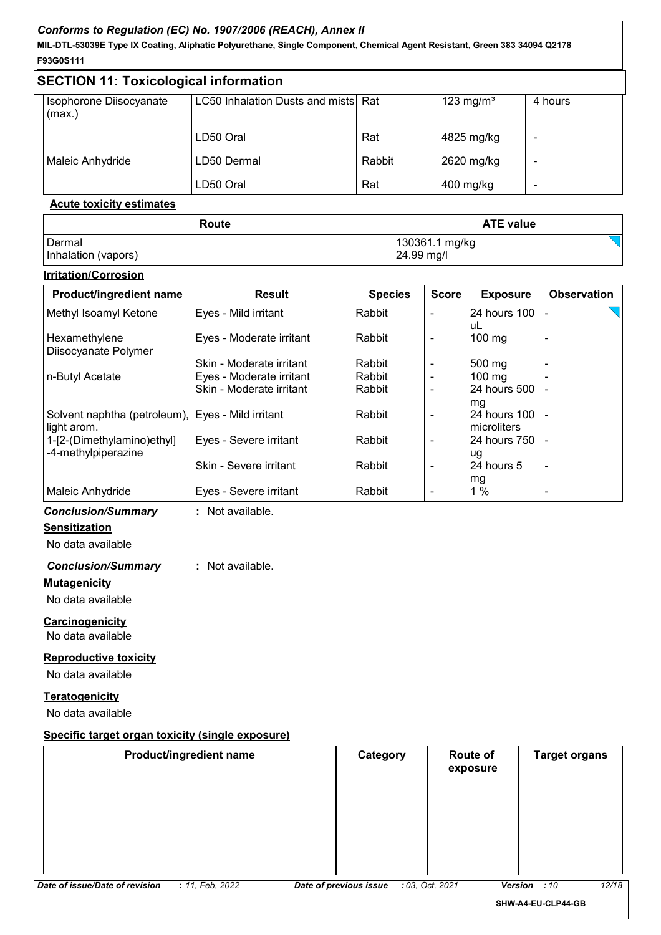**MIL-DTL-53039E Type IX Coating, Aliphatic Polyurethane, Single Component, Chemical Agent Resistant, Green 383 34094 Q2178 F93G0S111**

|                                   | <b>SECTION 11: Toxicological information</b> |        |                       |         |  |  |
|-----------------------------------|----------------------------------------------|--------|-----------------------|---------|--|--|
| Isophorone Diisocyanate<br>(max.) | LC50 Inhalation Dusts and mists Rat          |        | 123 mg/m <sup>3</sup> | 4 hours |  |  |
|                                   | LD50 Oral                                    | Rat    | 4825 mg/kg            | ۰       |  |  |
| Maleic Anhydride                  | LD50 Dermal                                  | Rabbit | 2620 mg/kg            |         |  |  |
|                                   | LD50 Oral                                    | Rat    | $400$ mg/kg           | ۰       |  |  |

#### **Acute toxicity estimates**

| Route               | <b>ATE value</b> |
|---------------------|------------------|
| Dermal              | 130361.1 mg/kg   |
| Inhalation (vapors) | 24.99 mg/l       |

#### **Irritation/Corrosion**

| Product/ingredient name                                          | <b>Result</b>            | <b>Species</b> | <b>Score</b>             | <b>Exposure</b>                 | <b>Observation</b> |
|------------------------------------------------------------------|--------------------------|----------------|--------------------------|---------------------------------|--------------------|
| Methyl Isoamyl Ketone                                            | Eyes - Mild irritant     | Rabbit         |                          | 24 hours 100<br>uL              |                    |
| Hexamethylene<br>Diisocyanate Polymer                            | Eyes - Moderate irritant | Rabbit         | $\blacksquare$           | $100 \text{ mg}$                | $\,$ $\,$          |
|                                                                  | Skin - Moderate irritant | Rabbit         |                          | 500 mg                          |                    |
| n-Butyl Acetate                                                  | Eyes - Moderate irritant | Rabbit         |                          | $100$ mg                        |                    |
|                                                                  | Skin - Moderate irritant | Rabbit         | $\blacksquare$           | 24 hours 500<br>mg              |                    |
| Solvent naphtha (petroleum), Eyes - Mild irritant<br>light arom. |                          | Rabbit         | $\blacksquare$           | 24 hours 100   -<br>microliters |                    |
| 1-[2-(Dimethylamino)ethyl]<br>-4-methylpiperazine                | Eyes - Severe irritant   | Rabbit         | $\overline{\phantom{0}}$ | 24 hours 750 -<br>lug           |                    |
|                                                                  | Skin - Severe irritant   | Rabbit         | $\blacksquare$           | 24 hours 5<br>mg                | $\blacksquare$     |
| Maleic Anhydride                                                 | Eyes - Severe irritant   | Rabbit         | $\overline{\phantom{a}}$ | 1%                              | $\blacksquare$     |

*Conclusion/Summary* **:** Not available.

### **Sensitization**

No data available

## *Conclusion/Summary* **:** Not available.

**Mutagenicity**

#### No data available

**Carcinogenicity**

No data available

### **Reproductive toxicity**

No data available

#### **Teratogenicity**

No data available

#### **Specific target organ toxicity (single exposure)**

|                                | Product/ingredient name | Category               | <b>Route of</b><br>exposure | <b>Target organs</b>  |       |
|--------------------------------|-------------------------|------------------------|-----------------------------|-----------------------|-------|
|                                |                         |                        |                             |                       |       |
|                                |                         |                        |                             |                       |       |
|                                |                         |                        |                             |                       |       |
| Date of issue/Date of revision | : 11, Feb, 2022         | Date of previous issue | : 03, Oct, 2021             | <b>Version</b><br>:10 | 12/18 |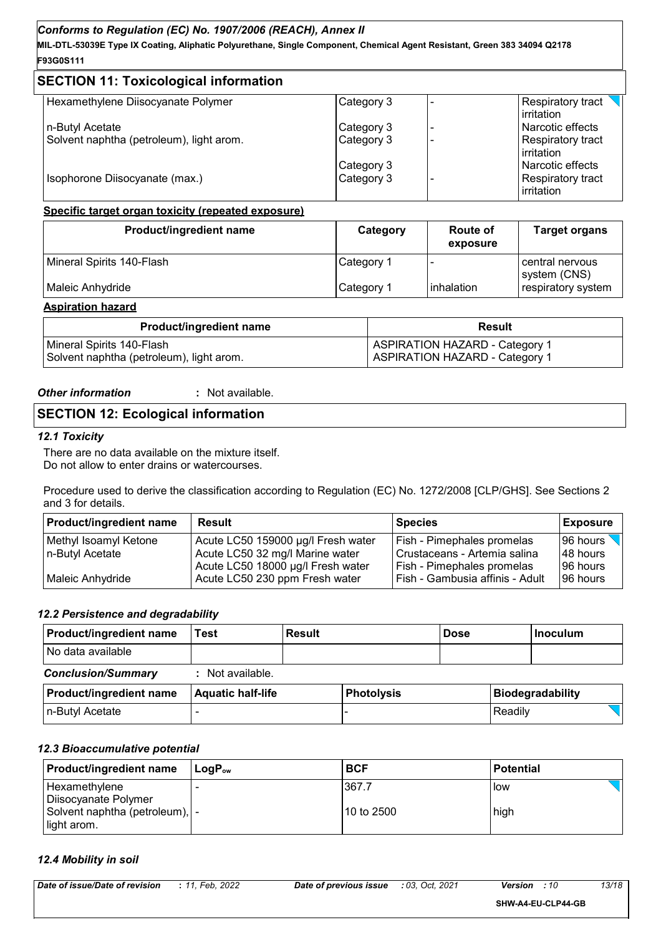**MIL-DTL-53039E Type IX Coating, Aliphatic Polyurethane, Single Component, Chemical Agent Resistant, Green 383 34094 Q2178 F93G0S111**

| <b>SECTION 11: Toxicological information</b> |            |                                             |
|----------------------------------------------|------------|---------------------------------------------|
| Hexamethylene Diisocyanate Polymer           | Category 3 | Respiratory tract $\setminus$<br>irritation |
| n-Butyl Acetate                              | Category 3 | l Narcotic effects                          |
| Solvent naphtha (petroleum), light arom.     | Category 3 | Respiratory tract<br><b>lirritation</b>     |
|                                              | Category 3 | Narcotic effects                            |
| Isophorone Diisocyanate (max.)               | Category 3 | Respiratory tract<br><b>lirritation</b>     |

## **Specific target organ toxicity (repeated exposure)**

| <b>Product/ingredient name</b> | Category   | <b>Route of</b><br>exposure | <b>Target organs</b>               |
|--------------------------------|------------|-----------------------------|------------------------------------|
| Mineral Spirits 140-Flash      | Category 1 |                             | central nervous                    |
| Maleic Anhydride               | Category 1 | inhalation                  | system (CNS)<br>respiratory system |

#### **Aspiration hazard**

| <b>Product/ingredient name</b>           | Result                                |
|------------------------------------------|---------------------------------------|
| Mineral Spirits 140-Flash                | <b>ASPIRATION HAZARD - Category 1</b> |
| Solvent naphtha (petroleum), light arom. | <b>ASPIRATION HAZARD - Category 1</b> |

#### *Other information* **:**

: Not available.

# **SECTION 12: Ecological information**

#### *12.1 Toxicity*

There are no data available on the mixture itself. Do not allow to enter drains or watercourses.

Procedure used to derive the classification according to Regulation (EC) No. 1272/2008 [CLP/GHS]. See Sections 2 and 3 for details.

| <b>Product/ingredient name</b> | <b>Result</b>                      | <b>Species</b>                    | <b>Exposure</b> |
|--------------------------------|------------------------------------|-----------------------------------|-----------------|
| Methyl Isoamyl Ketone          | Acute LC50 159000 µg/l Fresh water | <b>Fish - Pimephales promelas</b> | 96 hours        |
| n-Butyl Acetate                | Acute LC50 32 mg/l Marine water    | Crustaceans - Artemia salina      | 148 hours       |
|                                | Acute LC50 18000 µg/l Fresh water  | <b>Fish - Pimephales promelas</b> | 196 hours       |
| Maleic Anhydride               | Acute LC50 230 ppm Fresh water     | Fish - Gambusia affinis - Adult   | 96 hours        |

## *12.2 Persistence and degradability*

| <b>Product/ingredient name</b> | Test                     | <b>Result</b> |                   | <b>Dose</b> |         | <b>Inoculum</b>         |
|--------------------------------|--------------------------|---------------|-------------------|-------------|---------|-------------------------|
| No data available              |                          |               |                   |             |         |                         |
| <b>Conclusion/Summary</b>      | : Not available.         |               |                   |             |         |                         |
| Product/ingredient name        | <b>Aquatic half-life</b> |               | <b>Photolysis</b> |             |         | <b>Biodegradability</b> |
| n-Butyl Acetate                |                          |               |                   |             | Readily |                         |

#### *12.3 Bioaccumulative potential*

| <b>Product/ingredient name</b>                                                           | ⊺LoɑP <sub>ow</sub> | <b>BCF</b>          | <b>Potential</b>   |
|------------------------------------------------------------------------------------------|---------------------|---------------------|--------------------|
| Hexamethylene<br>Diisocyanate Polymer<br>Solvent naphtha (petroleum),   -<br>light arom. |                     | 367.7<br>10 to 2500 | <b>low</b><br>high |

#### *12.4 Mobility in soil*

| Date of issue/Date of revision | : 11. Feb. 2022 | Date of previous issue | : 03. Oct. 2021 | <b>Version</b><br>: 10 | 13/18 |
|--------------------------------|-----------------|------------------------|-----------------|------------------------|-------|
|                                |                 |                        |                 |                        |       |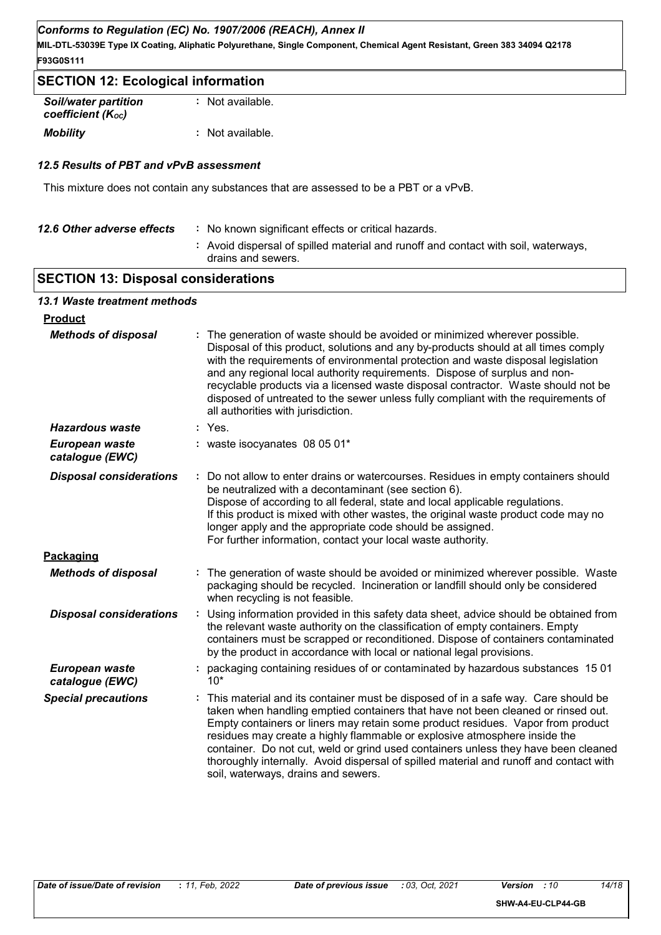**MIL-DTL-53039E Type IX Coating, Aliphatic Polyurethane, Single Component, Chemical Agent Resistant, Green 383 34094 Q2178 F93G0S111**

# **SECTION 12: Ecological information**

| <b>Soil/water partition</b>     |  | : Not available. |
|---------------------------------|--|------------------|
| coefficient ( $K_{\text{oc}}$ ) |  |                  |
| <b>Mobility</b>                 |  | : Not available. |

#### *12.5 Results of PBT and vPvB assessment*

This mixture does not contain any substances that are assessed to be a PBT or a vPvB.

| : Avoid dispersal of spilled material and runoff and contact with soil, waterways, | 12.6 Other adverse effects | : No known significant effects or critical hazards. |
|------------------------------------------------------------------------------------|----------------------------|-----------------------------------------------------|
|                                                                                    |                            | drains and sewers.                                  |

# **SECTION 13: Disposal considerations**

# *13.1 Waste treatment methods*

| <b>Product</b>                    |                                                                                                                                                                                                                                                                                                                                                                                                                                                                                                                                                              |
|-----------------------------------|--------------------------------------------------------------------------------------------------------------------------------------------------------------------------------------------------------------------------------------------------------------------------------------------------------------------------------------------------------------------------------------------------------------------------------------------------------------------------------------------------------------------------------------------------------------|
| <b>Methods of disposal</b>        | : The generation of waste should be avoided or minimized wherever possible.<br>Disposal of this product, solutions and any by-products should at all times comply<br>with the requirements of environmental protection and waste disposal legislation<br>and any regional local authority requirements. Dispose of surplus and non-<br>recyclable products via a licensed waste disposal contractor. Waste should not be<br>disposed of untreated to the sewer unless fully compliant with the requirements of<br>all authorities with jurisdiction.         |
| <b>Hazardous waste</b>            | : Yes.                                                                                                                                                                                                                                                                                                                                                                                                                                                                                                                                                       |
| European waste<br>catalogue (EWC) | : waste isocyanates 08 05 01*                                                                                                                                                                                                                                                                                                                                                                                                                                                                                                                                |
| <b>Disposal considerations</b>    | : Do not allow to enter drains or watercourses. Residues in empty containers should<br>be neutralized with a decontaminant (see section 6).<br>Dispose of according to all federal, state and local applicable regulations.<br>If this product is mixed with other wastes, the original waste product code may no<br>longer apply and the appropriate code should be assigned.<br>For further information, contact your local waste authority.                                                                                                               |
| Packaging                         |                                                                                                                                                                                                                                                                                                                                                                                                                                                                                                                                                              |
| <b>Methods of disposal</b>        | The generation of waste should be avoided or minimized wherever possible. Waste<br>packaging should be recycled. Incineration or landfill should only be considered<br>when recycling is not feasible.                                                                                                                                                                                                                                                                                                                                                       |
| <b>Disposal considerations</b>    | : Using information provided in this safety data sheet, advice should be obtained from<br>the relevant waste authority on the classification of empty containers. Empty<br>containers must be scrapped or reconditioned. Dispose of containers contaminated<br>by the product in accordance with local or national legal provisions.                                                                                                                                                                                                                         |
| European waste<br>catalogue (EWC) | : packaging containing residues of or contaminated by hazardous substances 1501<br>$10*$                                                                                                                                                                                                                                                                                                                                                                                                                                                                     |
| <b>Special precautions</b>        | This material and its container must be disposed of in a safe way. Care should be<br>taken when handling emptied containers that have not been cleaned or rinsed out.<br>Empty containers or liners may retain some product residues. Vapor from product<br>residues may create a highly flammable or explosive atmosphere inside the<br>container. Do not cut, weld or grind used containers unless they have been cleaned<br>thoroughly internally. Avoid dispersal of spilled material and runoff and contact with<br>soil, waterways, drains and sewers. |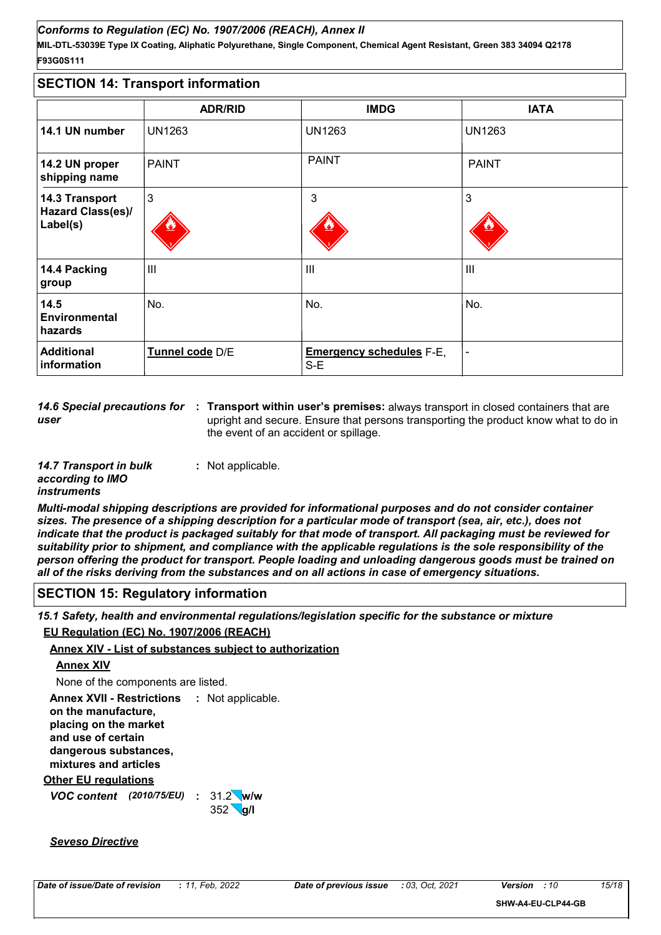**MIL-DTL-53039E Type IX Coating, Aliphatic Polyurethane, Single Component, Chemical Agent Resistant, Green 383 34094 Q2178 F93G0S111**

## **SECTION 14: Transport information**

|                                                        | <b>ADR/RID</b>  | <b>IMDG</b>                              | <b>IATA</b>    |
|--------------------------------------------------------|-----------------|------------------------------------------|----------------|
| 14.1 UN number                                         | <b>UN1263</b>   | <b>UN1263</b>                            | <b>UN1263</b>  |
| 14.2 UN proper<br>shipping name                        | <b>PAINT</b>    | <b>PAINT</b>                             | <b>PAINT</b>   |
| 14.3 Transport<br><b>Hazard Class(es)/</b><br>Label(s) | 3               | $\mathfrak{S}$                           | 3              |
| 14.4 Packing<br>group                                  | $\mathbf{III}$  | $\mathbf{III}$                           | III            |
| 14.5<br><b>Environmental</b><br>hazards                | No.             | No.                                      | No.            |
| <b>Additional</b><br>information                       | Tunnel code D/E | <b>Emergency schedules F-E,</b><br>$S-E$ | $\blacksquare$ |

**14.6 Special precautions for : Transport within user's premises:** always transport in closed containers that are *user* upright and secure. Ensure that persons transporting the product know what to do in the event of an accident or spillage.

| 14.7 Transport in bulk | : Not applicable. |
|------------------------|-------------------|
| according to IMO       |                   |
| <i>instruments</i>     |                   |

*Multi-modal shipping descriptions are provided for informational purposes and do not consider container sizes. The presence of a shipping description for a particular mode of transport (sea, air, etc.), does not indicate that the product is packaged suitably for that mode of transport. All packaging must be reviewed for suitability prior to shipment, and compliance with the applicable regulations is the sole responsibility of the person offering the product for transport. People loading and unloading dangerous goods must be trained on all of the risks deriving from the substances and on all actions in case of emergency situations.*

# **SECTION 15: Regulatory information**

*15.1 Safety, health and environmental regulations/legislation specific for the substance or mixture*

#### **EU Regulation (EC) No. 1907/2006 (REACH)**

#### **Annex XIV - List of substances subject to authorization**

#### **Annex XIV**

None of the components are listed.

**Other EU regulations Annex XVII - Restrictions :** Not applicable. **on the manufacture, placing on the market and use of certain dangerous substances, mixtures and articles**

*VOC content* (2010/75/EU) : 31.2 *W*/w **g/l** 352  $31.2$  W/w

*Seveso Directive*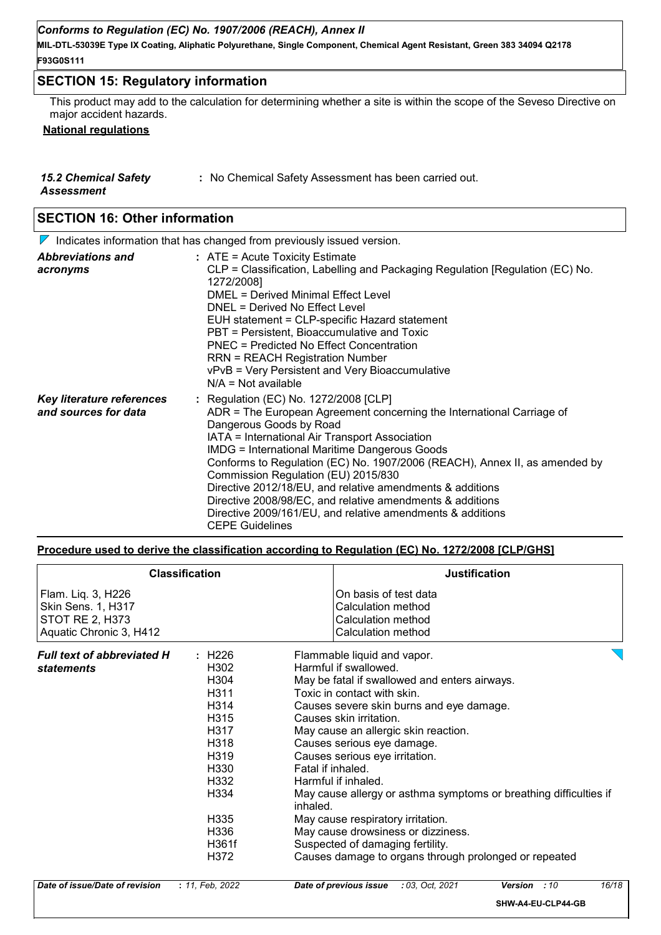**MIL-DTL-53039E Type IX Coating, Aliphatic Polyurethane, Single Component, Chemical Agent Resistant, Green 383 34094 Q2178 F93G0S111**

### **SECTION 15: Regulatory information**

This product may add to the calculation for determining whether a site is within the scope of the Seveso Directive on major accident hazards.

## **National regulations**

| <b>15.2 Chemical Safety</b> | : No Chemical Safety Assessment has been carried out. |
|-----------------------------|-------------------------------------------------------|
| Assessment                  |                                                       |

## **SECTION 16: Other information**

 $\nabla$  Indicates information that has changed from previously issued version.

| <b>Abbreviations and</b>  | $:$ ATE = Acute Toxicity Estimate                                                           |
|---------------------------|---------------------------------------------------------------------------------------------|
| acronyms                  | CLP = Classification, Labelling and Packaging Regulation [Regulation (EC) No.<br>1272/2008] |
|                           | <b>DMEL = Derived Minimal Effect Level</b>                                                  |
|                           | DNEL = Derived No Effect Level                                                              |
|                           | EUH statement = CLP-specific Hazard statement                                               |
|                           | PBT = Persistent, Bioaccumulative and Toxic                                                 |
|                           | PNEC = Predicted No Effect Concentration                                                    |
|                           | <b>RRN = REACH Registration Number</b>                                                      |
|                           | vPvB = Very Persistent and Very Bioaccumulative                                             |
|                           | $N/A = Not available$                                                                       |
| Key literature references | : Regulation (EC) No. 1272/2008 [CLP]                                                       |
| and sources for data      | ADR = The European Agreement concerning the International Carriage of                       |
|                           | Dangerous Goods by Road                                                                     |
|                           | IATA = International Air Transport Association                                              |
|                           | <b>IMDG = International Maritime Dangerous Goods</b>                                        |
|                           | Conforms to Regulation (EC) No. 1907/2006 (REACH), Annex II, as amended by                  |
|                           | Commission Regulation (EU) 2015/830                                                         |
|                           | Directive 2012/18/EU, and relative amendments & additions                                   |
|                           | Directive 2008/98/EC, and relative amendments & additions                                   |
|                           | Directive 2009/161/EU, and relative amendments & additions                                  |
|                           | <b>CEPE Guidelines</b>                                                                      |

#### **Procedure used to derive the classification according to Regulation (EC) No. 1272/2008 [CLP/GHS]**

|                                   | <b>Classification</b> | <b>Justification</b>                                                          |
|-----------------------------------|-----------------------|-------------------------------------------------------------------------------|
| Flam. Liq. 3, H226                |                       | On basis of test data                                                         |
| Skin Sens. 1, H317                |                       | Calculation method                                                            |
| STOT RE 2, H373                   |                       | Calculation method                                                            |
| Aquatic Chronic 3, H412           |                       | Calculation method                                                            |
| <b>Full text of abbreviated H</b> | : H226                | Flammable liquid and vapor.                                                   |
| statements                        | H302                  | Harmful if swallowed.                                                         |
|                                   | H304                  | May be fatal if swallowed and enters airways.                                 |
|                                   | H311                  | Toxic in contact with skin.                                                   |
|                                   | H314                  | Causes severe skin burns and eye damage.                                      |
|                                   | H315                  | Causes skin irritation.                                                       |
|                                   | H317                  | May cause an allergic skin reaction.                                          |
|                                   | H318                  | Causes serious eye damage.                                                    |
|                                   | H319                  | Causes serious eye irritation.                                                |
|                                   | H330                  | Fatal if inhaled.                                                             |
|                                   | H332                  | Harmful if inhaled.                                                           |
|                                   | H334                  | May cause allergy or asthma symptoms or breathing difficulties if<br>inhaled. |
|                                   | H335                  | May cause respiratory irritation.                                             |
|                                   | H336                  | May cause drowsiness or dizziness.                                            |
|                                   | H361f                 | Suspected of damaging fertility.                                              |
|                                   | H372                  | Causes damage to organs through prolonged or repeated                         |
| Date of issue/Date of revision    | : 11, Feb. 2022       | 16/18<br>: 03. Oct. 2021<br>: 10<br>Date of previous issue<br><b>Version</b>  |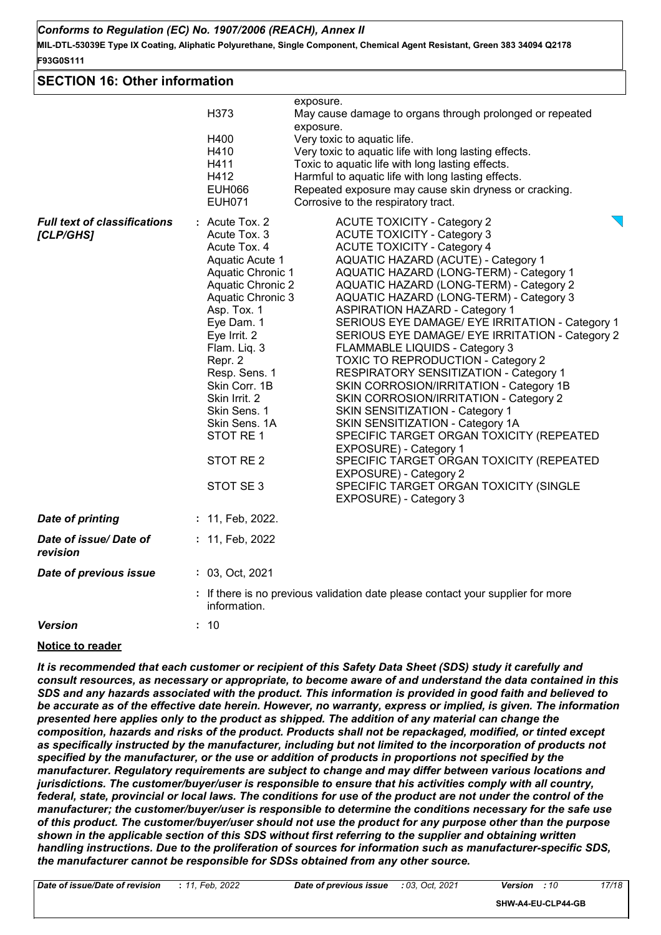**MIL-DTL-53039E Type IX Coating, Aliphatic Polyurethane, Single Component, Chemical Agent Resistant, Green 383 34094 Q2178 F93G0S111**

## **SECTION 16: Other information**

|                                                  | H373<br>H400<br>H410<br>H411<br>H412<br><b>EUH066</b><br><b>EUH071</b>                                                                                                                                                                                                                                                                     | exposure.<br>May cause damage to organs through prolonged or repeated<br>exposure.<br>Very toxic to aquatic life.<br>Very toxic to aquatic life with long lasting effects.<br>Toxic to aquatic life with long lasting effects.<br>Harmful to aquatic life with long lasting effects.<br>Repeated exposure may cause skin dryness or cracking.<br>Corrosive to the respiratory tract.                                                                                                                                                                                                                                                                                                                                                                                                                                                                                                                                                |
|--------------------------------------------------|--------------------------------------------------------------------------------------------------------------------------------------------------------------------------------------------------------------------------------------------------------------------------------------------------------------------------------------------|-------------------------------------------------------------------------------------------------------------------------------------------------------------------------------------------------------------------------------------------------------------------------------------------------------------------------------------------------------------------------------------------------------------------------------------------------------------------------------------------------------------------------------------------------------------------------------------------------------------------------------------------------------------------------------------------------------------------------------------------------------------------------------------------------------------------------------------------------------------------------------------------------------------------------------------|
| <b>Full text of classifications</b><br>[CLP/GHS] | : Acute Tox. 2<br>Acute Tox. 3<br>Acute Tox. 4<br>Aquatic Acute 1<br><b>Aquatic Chronic 1</b><br>Aquatic Chronic 2<br>Aquatic Chronic 3<br>Asp. Tox. 1<br>Eye Dam. 1<br>Eye Irrit. 2<br>Flam. Liq. 3<br>Repr. 2<br>Resp. Sens. 1<br>Skin Corr. 1B<br>Skin Irrit. 2<br>Skin Sens. 1<br>Skin Sens. 1A<br>STOT RE 1<br>STOT RE 2<br>STOT SE 3 | <b>ACUTE TOXICITY - Category 2</b><br><b>ACUTE TOXICITY - Category 3</b><br><b>ACUTE TOXICITY - Category 4</b><br>AQUATIC HAZARD (ACUTE) - Category 1<br>AQUATIC HAZARD (LONG-TERM) - Category 1<br>AQUATIC HAZARD (LONG-TERM) - Category 2<br>AQUATIC HAZARD (LONG-TERM) - Category 3<br><b>ASPIRATION HAZARD - Category 1</b><br>SERIOUS EYE DAMAGE/ EYE IRRITATION - Category 1<br>SERIOUS EYE DAMAGE/ EYE IRRITATION - Category 2<br>FLAMMABLE LIQUIDS - Category 3<br>TOXIC TO REPRODUCTION - Category 2<br>RESPIRATORY SENSITIZATION - Category 1<br>SKIN CORROSION/IRRITATION - Category 1B<br>SKIN CORROSION/IRRITATION - Category 2<br>SKIN SENSITIZATION - Category 1<br>SKIN SENSITIZATION - Category 1A<br>SPECIFIC TARGET ORGAN TOXICITY (REPEATED<br>EXPOSURE) - Category 1<br>SPECIFIC TARGET ORGAN TOXICITY (REPEATED<br>EXPOSURE) - Category 2<br>SPECIFIC TARGET ORGAN TOXICITY (SINGLE<br>EXPOSURE) - Category 3 |
| Date of printing                                 | : 11, Feb, 2022.                                                                                                                                                                                                                                                                                                                           |                                                                                                                                                                                                                                                                                                                                                                                                                                                                                                                                                                                                                                                                                                                                                                                                                                                                                                                                     |
| Date of issue/Date of<br>revision                | : 11, Feb, 2022                                                                                                                                                                                                                                                                                                                            |                                                                                                                                                                                                                                                                                                                                                                                                                                                                                                                                                                                                                                                                                                                                                                                                                                                                                                                                     |
| Date of previous issue                           | : 03, Oct, 2021                                                                                                                                                                                                                                                                                                                            |                                                                                                                                                                                                                                                                                                                                                                                                                                                                                                                                                                                                                                                                                                                                                                                                                                                                                                                                     |
|                                                  | information.                                                                                                                                                                                                                                                                                                                               | : If there is no previous validation date please contact your supplier for more                                                                                                                                                                                                                                                                                                                                                                                                                                                                                                                                                                                                                                                                                                                                                                                                                                                     |
| <b>Version</b>                                   | : 10                                                                                                                                                                                                                                                                                                                                       |                                                                                                                                                                                                                                                                                                                                                                                                                                                                                                                                                                                                                                                                                                                                                                                                                                                                                                                                     |

#### **Notice to reader**

*It is recommended that each customer or recipient of this Safety Data Sheet (SDS) study it carefully and consult resources, as necessary or appropriate, to become aware of and understand the data contained in this SDS and any hazards associated with the product. This information is provided in good faith and believed to be accurate as of the effective date herein. However, no warranty, express or implied, is given. The information presented here applies only to the product as shipped. The addition of any material can change the composition, hazards and risks of the product. Products shall not be repackaged, modified, or tinted except*  as specifically instructed by the manufacturer, including but not limited to the incorporation of products not *specified by the manufacturer, or the use or addition of products in proportions not specified by the manufacturer. Regulatory requirements are subject to change and may differ between various locations and jurisdictions. The customer/buyer/user is responsible to ensure that his activities comply with all country, federal, state, provincial or local laws. The conditions for use of the product are not under the control of the manufacturer; the customer/buyer/user is responsible to determine the conditions necessary for the safe use of this product. The customer/buyer/user should not use the product for any purpose other than the purpose shown in the applicable section of this SDS without first referring to the supplier and obtaining written handling instructions. Due to the proliferation of sources for information such as manufacturer-specific SDS, the manufacturer cannot be responsible for SDSs obtained from any other source.*